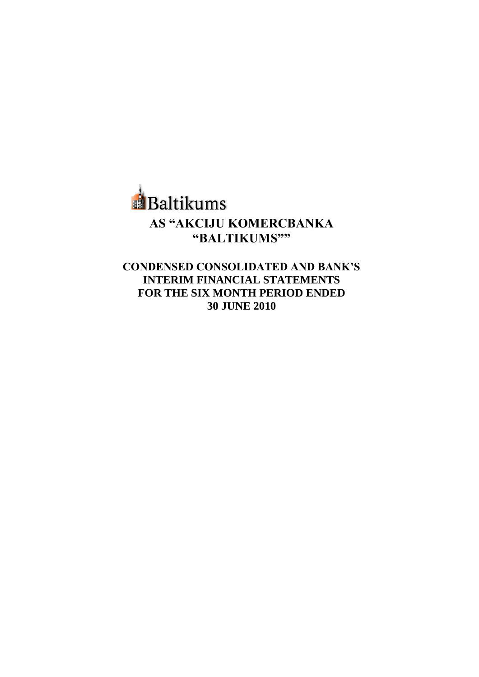

**CONDENSED CONSOLIDATED AND BANK"S INTERIM FINANCIAL STATEMENTS FOR THE SIX MONTH PERIOD ENDED 30 JUNE 2010**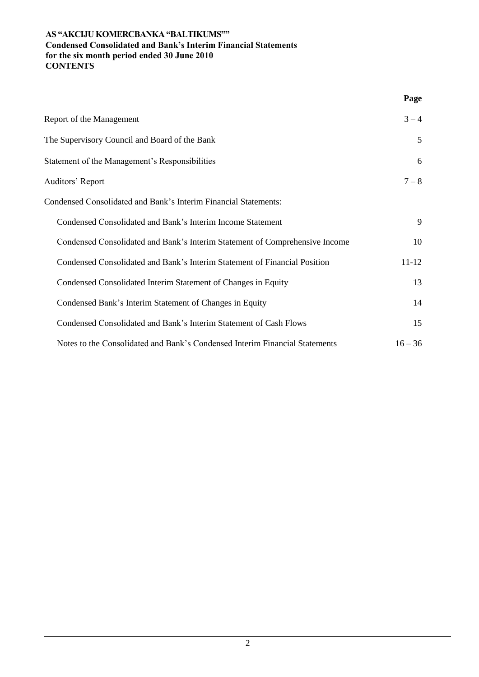# **AS "AKCIJU KOMERCBANKA "BALTIKUMS"" Condensed Consolidated and Bank's Interim Financial Statements for the six month period ended 30 June 2010 CONTENTS**

|                                                                             | Page      |
|-----------------------------------------------------------------------------|-----------|
| Report of the Management                                                    | $3 - 4$   |
| The Supervisory Council and Board of the Bank                               | 5         |
| Statement of the Management's Responsibilities                              | 6         |
| Auditors' Report                                                            | $7 - 8$   |
| Condensed Consolidated and Bank's Interim Financial Statements:             |           |
| Condensed Consolidated and Bank's Interim Income Statement                  | 9         |
| Condensed Consolidated and Bank's Interim Statement of Comprehensive Income | 10        |
| Condensed Consolidated and Bank's Interim Statement of Financial Position   | $11 - 12$ |
| Condensed Consolidated Interim Statement of Changes in Equity               | 13        |
| Condensed Bank's Interim Statement of Changes in Equity                     | 14        |
| Condensed Consolidated and Bank's Interim Statement of Cash Flows           | 15        |
| Notes to the Consolidated and Bank's Condensed Interim Financial Statements | $16 - 36$ |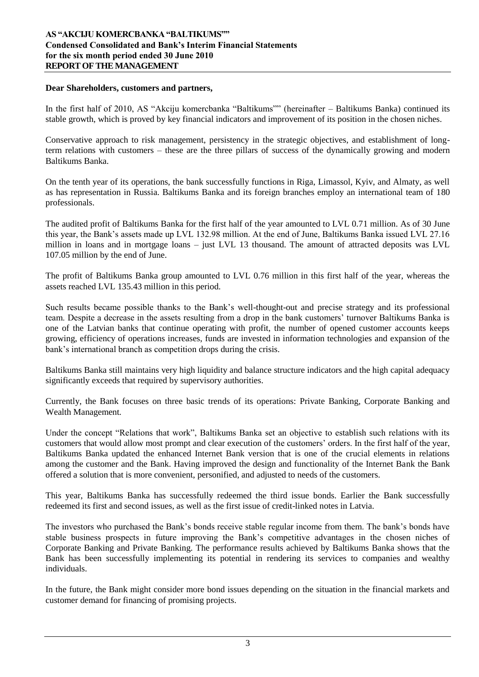#### **Dear Shareholders, customers and partners,**

In the first half of 2010, AS "Akciju komercbanka "Baltikums"" (hereinafter – Baltikums Banka) continued its stable growth, which is proved by key financial indicators and improvement of its position in the chosen niches.

Conservative approach to risk management, persistency in the strategic objectives, and establishment of longterm relations with customers – these are the three pillars of success of the dynamically growing and modern Baltikums Banka.

On the tenth year of its operations, the bank successfully functions in Riga, Limassol, Kyiv, and Almaty, as well as has representation in Russia. Baltikums Banka and its foreign branches employ an international team of 180 professionals.

The audited profit of Baltikums Banka for the first half of the year amounted to LVL 0.71 million. As of 30 June this year, the Bank"s assets made up LVL 132.98 million. At the end of June, Baltikums Banka issued LVL 27.16 million in loans and in mortgage loans – just LVL 13 thousand. The amount of attracted deposits was LVL 107.05 million by the end of June.

The profit of Baltikums Banka group amounted to LVL 0.76 million in this first half of the year, whereas the assets reached LVL 135.43 million in this period.

Such results became possible thanks to the Bank"s well-thought-out and precise strategy and its professional team. Despite a decrease in the assets resulting from a drop in the bank customers" turnover Baltikums Banka is one of the Latvian banks that continue operating with profit, the number of opened customer accounts keeps growing, efficiency of operations increases, funds are invested in information technologies and expansion of the bank"s international branch as competition drops during the crisis.

Baltikums Banka still maintains very high liquidity and balance structure indicators and the high capital adequacy significantly exceeds that required by supervisory authorities.

Currently, the Bank focuses on three basic trends of its operations: Private Banking*,* Corporate Banking and Wealth Management*.*

Under the concept "Relations that work", Baltikums Banka set an objective to establish such relations with its customers that would allow most prompt and clear execution of the customers" orders. In the first half of the year, Baltikums Banka updated the enhanced Internet Bank version that is one of the crucial elements in relations among the customer and the Bank. Having improved the design and functionality of the Internet Bank the Bank offered a solution that is more convenient, personified, and adjusted to needs of the customers.

This year, Baltikums Banka has successfully redeemed the third issue bonds. Earlier the Bank successfully redeemed its first and second issues, as well as the first issue of credit-linked notes in Latvia.

The investors who purchased the Bank"s bonds receive stable regular income from them. The bank"s bonds have stable business prospects in future improving the Bank"s competitive advantages in the chosen niches of Corporate Banking and Private Banking. The performance results achieved by Baltikums Banka shows that the Bank has been successfully implementing its potential in rendering its services to companies and wealthy individuals.

In the future, the Bank might consider more bond issues depending on the situation in the financial markets and customer demand for financing of promising projects.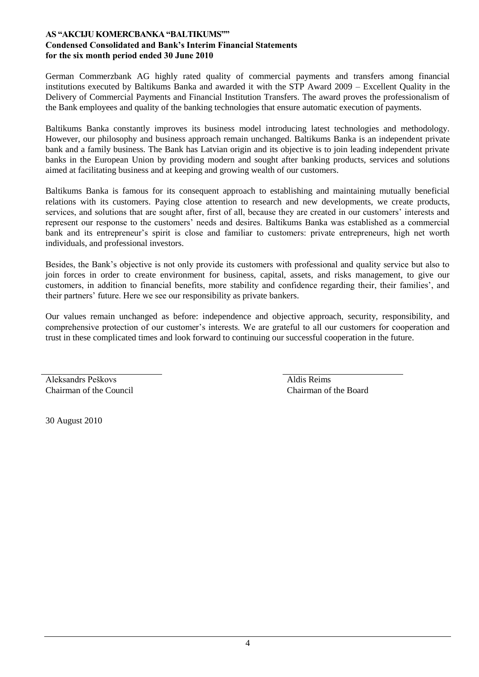### **AS "AKCIJU KOMERCBANKA "BALTIKUMS"" Condensed Consolidated and Bank's Interim Financial Statements for the six month period ended 30 June 2010**

German Commerzbank AG highly rated quality of commercial payments and transfers among financial institutions executed by Baltikums Banka and awarded it with the STP Award 2009 – Excellent Quality in the Delivery of Commercial Payments and Financial Institution Transfers. The award proves the professionalism of the Bank employees and quality of the banking technologies that ensure automatic execution of payments.

Baltikums Banka constantly improves its business model introducing latest technologies and methodology. However, our philosophy and business approach remain unchanged. Baltikums Banka is an independent private bank and a family business. The Bank has Latvian origin and its objective is to join leading independent private banks in the European Union by providing modern and sought after banking products, services and solutions aimed at facilitating business and at keeping and growing wealth of our customers.

Baltikums Banka is famous for its consequent approach to establishing and maintaining mutually beneficial relations with its customers. Paying close attention to research and new developments, we create products, services, and solutions that are sought after, first of all, because they are created in our customers" interests and represent our response to the customers" needs and desires. Baltikums Banka was established as a commercial bank and its entrepreneur's spirit is close and familiar to customers: private entrepreneurs, high net worth individuals, and professional investors.

Besides, the Bank"s objective is not only provide its customers with professional and quality service but also to join forces in order to create environment for business, capital, assets, and risks management, to give our customers, in addition to financial benefits, more stability and confidence regarding their, their families", and their partners" future. Here we see our responsibility as private bankers.

Our values remain unchanged as before: independence and objective approach, security, responsibility, and comprehensive protection of our customer"s interests. We are grateful to all our customers for cooperation and trust in these complicated times and look forward to continuing our successful cooperation in the future.

Aleksandrs Peškovs Chairman of the Council Aldis Reims Chairman of the Board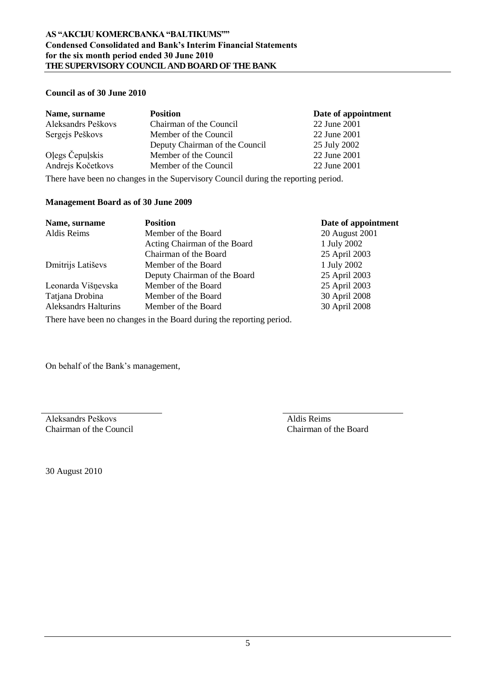# **Council as of 30 June 2010**

| Name, surname      | <b>Position</b>                                                                    | Date of appointment |
|--------------------|------------------------------------------------------------------------------------|---------------------|
| Aleksandrs Peškovs | Chairman of the Council                                                            | 22 June 2001        |
| Sergejs Peškovs    | Member of the Council                                                              | 22 June 2001        |
|                    | Deputy Chairman of the Council                                                     | 25 July 2002        |
| Olegs Čepulskis    | Member of the Council                                                              | 22 June 2001        |
| Andrejs Kočetkovs  | Member of the Council                                                              | 22 June 2001        |
|                    | There have been no changes in the Supervisory Council during the reporting period. |                     |

#### **Management Board as of 30 June 2009**

| Name, surname               | <b>Position</b>              | Date of appointment |
|-----------------------------|------------------------------|---------------------|
| Aldis Reims                 | Member of the Board          | 20 August 2001      |
|                             | Acting Chairman of the Board | 1 July 2002         |
|                             | Chairman of the Board        | 25 April 2003       |
| Dmitrijs Latiševs           | Member of the Board          | 1 July 2002         |
|                             | Deputy Chairman of the Board | 25 April 2003       |
| Leonarda Višņevska          | Member of the Board          | 25 April 2003       |
| Tatjana Drobina             | Member of the Board          | 30 April 2008       |
| <b>Aleksandrs Halturins</b> | Member of the Board          | 30 April 2008       |
|                             |                              |                     |

There have been no changes in the Board during the reporting period.

On behalf of the Bank"s management,

Aleksandrs Peškovs Chairman of the Council

Aldis Reims Chairman of the Board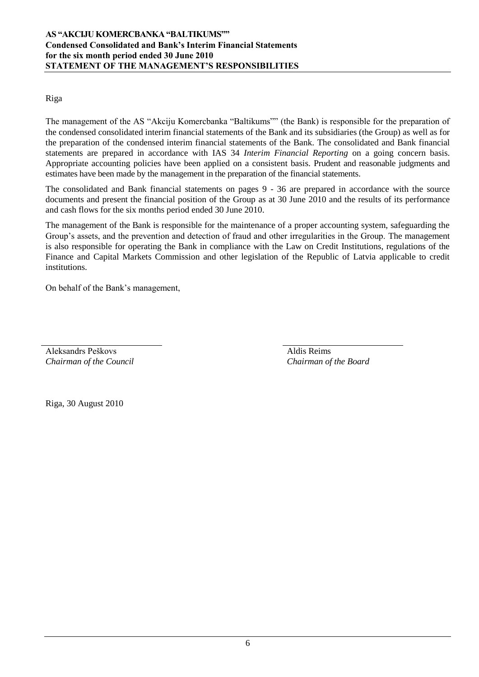Riga

The management of the AS "Akciju Komercbanka "Baltikums"" (the Bank) is responsible for the preparation of the condensed consolidated interim financial statements of the Bank and its subsidiaries (the Group) as well as for the preparation of the condensed interim financial statements of the Bank. The consolidated and Bank financial statements are prepared in accordance with IAS 34 *Interim Financial Reporting* on a going concern basis. Appropriate accounting policies have been applied on a consistent basis. Prudent and reasonable judgments and estimates have been made by the management in the preparation of the financial statements.

The consolidated and Bank financial statements on pages 9 - 36 are prepared in accordance with the source documents and present the financial position of the Group as at 30 June 2010 and the results of its performance and cash flows for the six months period ended 30 June 2010.

The management of the Bank is responsible for the maintenance of a proper accounting system, safeguarding the Group"s assets, and the prevention and detection of fraud and other irregularities in the Group. The management is also responsible for operating the Bank in compliance with the Law on Credit Institutions, regulations of the Finance and Capital Markets Commission and other legislation of the Republic of Latvia applicable to credit institutions.

On behalf of the Bank"s management,

Aleksandrs Peškovs *Chairman of the Council* Aldis Reims *Chairman of the Board*

Riga, 30 August 2010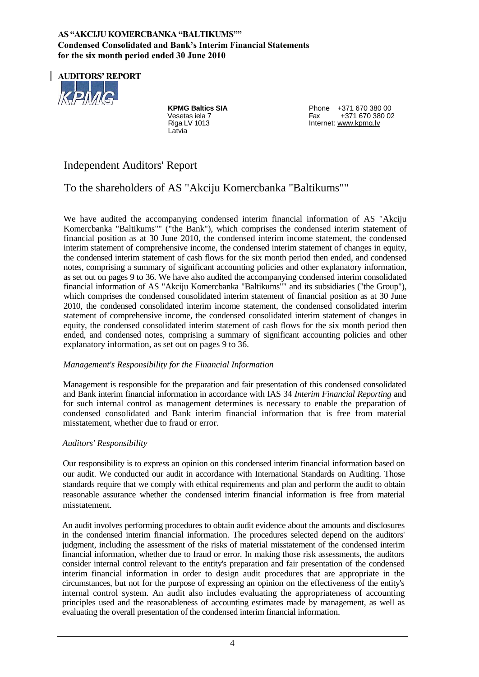# **AS "AKCIJU KOMERCBANKA "BALTIKUMS"" Condensed Consolidated and Bank's Interim Financial Statements for the six month period ended 30 June 2010**



Latvia

**KPMG Baltics SIA** Phone +371 670 380 00<br>Vesetas iela 7 **Phone 2012 5** Fax +371 670 380 00 +371 670 380 02 Riga LV 1013 **Internet:** [www.kpmg.lv](http://www.kpmg.lv/)

# Independent Auditors' Report

# To the shareholders of AS "Akciju Komercbanka "Baltikums""

We have audited the accompanying condensed interim financial information of AS "Akciju Komercbanka "Baltikums"" ("the Bank"), which comprises the condensed interim statement of financial position as at 30 June 2010, the condensed interim income statement, the condensed interim statement of comprehensive income, the condensed interim statement of changes in equity, the condensed interim statement of cash flows for the six month period then ended, and condensed notes, comprising a summary of significant accounting policies and other explanatory information, as set out on pages 9 to 36. We have also audited the accompanying condensed interim consolidated financial information of AS "Akciju Komercbanka "Baltikums"" and its subsidiaries ("the Group"), which comprises the condensed consolidated interim statement of financial position as at 30 June 2010, the condensed consolidated interim income statement, the condensed consolidated interim statement of comprehensive income, the condensed consolidated interim statement of changes in equity, the condensed consolidated interim statement of cash flows for the six month period then ended, and condensed notes, comprising a summary of significant accounting policies and other explanatory information, as set out on pages 9 to 36.

# *Management's Responsibility for the Financial Information*

Management is responsible for the preparation and fair presentation of this condensed consolidated and Bank interim financial information in accordance with IAS 34 *Interim Financial Reporting* and for such internal control as management determines is necessary to enable the preparation of condensed consolidated and Bank interim financial information that is free from material misstatement, whether due to fraud or error.

# *Auditors' Responsibility*

Our responsibility is to express an opinion on this condensed interim financial information based on our audit. We conducted our audit in accordance with International Standards on Auditing. Those standards require that we comply with ethical requirements and plan and perform the audit to obtain reasonable assurance whether the condensed interim financial information is free from material misstatement.

An audit involves performing procedures to obtain audit evidence about the amounts and disclosures in the condensed interim financial information. The procedures selected depend on the auditors' judgment, including the assessment of the risks of material misstatement of the condensed interim financial information, whether due to fraud or error. In making those risk assessments, the auditors consider internal control relevant to the entity's preparation and fair presentation of the condensed interim financial information in order to design audit procedures that are appropriate in the circumstances, but not for the purpose of expressing an opinion on the effectiveness of the entity's internal control system. An audit also includes evaluating the appropriateness of accounting principles used and the reasonableness of accounting estimates made by management, as well as evaluating the overall presentation of the condensed interim financial information.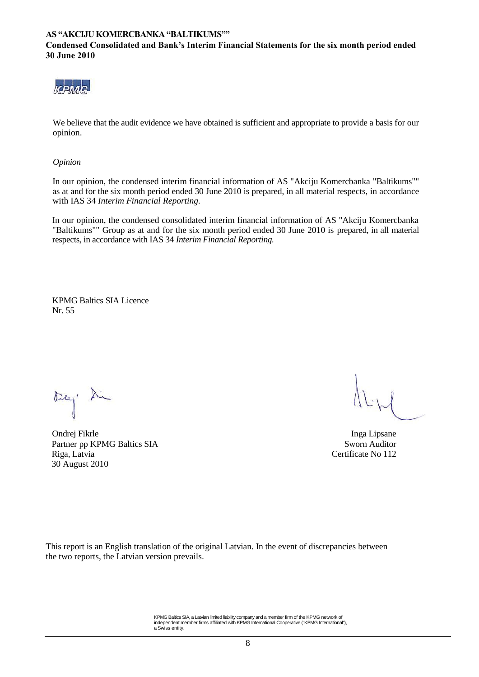#### **AS "AKCIJU KOMERCBANKA "BALTIKUMS"" Condensed Consolidated and Bank's Interim Financial Statements for the six month period ended 30 June 2010**



We believe that the audit evidence we have obtained is sufficient and appropriate to provide a basis for our opinion.

*Opinion*

In our opinion, the condensed interim financial information of AS "Akciju Komercbanka "Baltikums"" as at and for the six month period ended 30 June 2010 is prepared, in all material respects, in accordance with IAS 34 *Interim Financial Reporting.*

In our opinion, the condensed consolidated interim financial information of AS "Akciju Komercbanka "Baltikums"" Group as at and for the six month period ended 30 June 2010 is prepared, in all material respects, in accordance with IAS 34 *Interim Financial Reporting.*

KPMG Baltics SIA Licence Nr. 55

Ondrej Fikrle Inga Lipsane Partner pp KPMG Baltics SIA Sworn Auditor Riga, Latvia Certificate No 112 30 August 2010

This report is an English translation of the original Latvian. In the event of discrepancies between the two reports, the Latvian version prevails.

> KPMG Baltics SIA, a Latvian limited liability company and a member firm of the KPMG network of independent member firms affiliated with KPMG International Cooperative ("KPMG International"), a Swiss entity.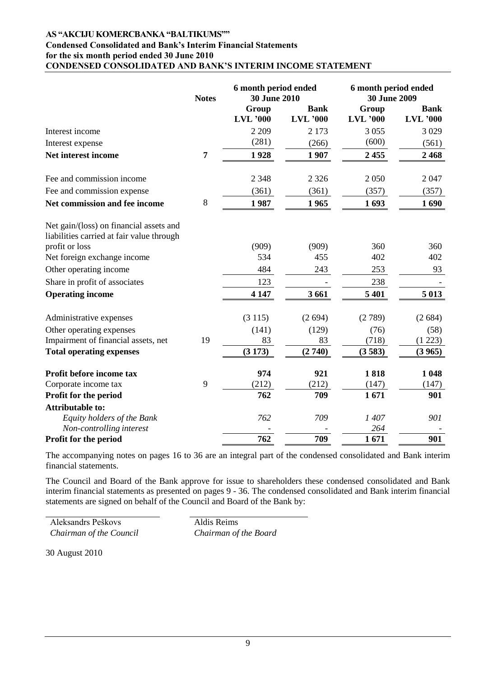#### **AS "AKCIJU KOMERCBANKA "BALTIKUMS"" Condensed Consolidated and Bank's Interim Financial Statements for the six month period ended 30 June 2010 CONDENSED CONSOLIDATED AND BANK"S INTERIM INCOME STATEMENT**

|                                                                                      | <b>Notes</b>   | 6 month period ended<br>30 June 2010 |                                | 6 month period ended<br>30 June 2009 |                                |
|--------------------------------------------------------------------------------------|----------------|--------------------------------------|--------------------------------|--------------------------------------|--------------------------------|
|                                                                                      |                | Group<br><b>LVL</b> '000             | <b>Bank</b><br><b>LVL</b> '000 | Group<br><b>LVL</b> '000             | <b>Bank</b><br><b>LVL</b> '000 |
| Interest income                                                                      |                | 2 2 0 9                              | 2 1 7 3                        | 3 0 5 5                              | 3 0 29                         |
| Interest expense                                                                     |                | (281)                                | (266)                          | (600)                                | (561)                          |
| Net interest income                                                                  | $\overline{7}$ | 1928                                 | 1 907                          | 2455                                 | 2468                           |
| Fee and commission income                                                            |                | 2 3 4 8                              | 2 3 2 6                        | 2 0 5 0                              | 2047                           |
| Fee and commission expense                                                           |                | (361)                                | (361)                          | (357)                                | (357)                          |
| Net commission and fee income                                                        | 8              | 1987                                 | 1965                           | 1693                                 | 1690                           |
| Net gain/(loss) on financial assets and<br>liabilities carried at fair value through |                |                                      |                                |                                      |                                |
| profit or loss                                                                       |                | (909)                                | (909)                          | 360                                  | 360                            |
| Net foreign exchange income                                                          |                | 534                                  | 455                            | 402                                  | 402                            |
| Other operating income                                                               |                | 484                                  | 243                            | 253                                  | 93                             |
| Share in profit of associates                                                        |                | 123                                  |                                | 238                                  |                                |
| <b>Operating income</b>                                                              |                | 4 1 4 7                              | 3 6 6 1                        | 5 4 0 1                              | 5 0 13                         |
| Administrative expenses                                                              |                | (3115)                               | (2694)                         | (2789)                               | (2684)                         |
| Other operating expenses                                                             |                | (141)                                | (129)                          | (76)                                 | (58)                           |
| Impairment of financial assets, net                                                  | 19             | 83                                   | 83                             | (718)                                | (1 223)                        |
| <b>Total operating expenses</b>                                                      |                | (3173)                               | (2740)                         | (3583)                               | (3965)                         |
| Profit before income tax                                                             |                | 974                                  | 921                            | 1818                                 | 1 0 4 8                        |
| Corporate income tax                                                                 | 9              | (212)                                | (212)                          | (147)                                | (147)                          |
| Profit for the period                                                                |                | 762                                  | 709                            | 1671                                 | 901                            |
| <b>Attributable to:</b>                                                              |                |                                      |                                |                                      |                                |
| Equity holders of the Bank                                                           |                | 762                                  | 709                            | 1407                                 | 901                            |
| Non-controlling interest                                                             |                |                                      |                                | 264                                  |                                |
| Profit for the period                                                                |                | 762                                  | 709                            | 1671                                 | 901                            |

The accompanying notes on pages 16 to 36 are an integral part of the condensed consolidated and Bank interim financial statements.

The Council and Board of the Bank approve for issue to shareholders these condensed consolidated and Bank interim financial statements as presented on pages 9 - 36. The condensed consolidated and Bank interim financial statements are signed on behalf of the Council and Board of the Bank by:

Aleksandrs Peškovs *Chairman of the Council* Aldis Reims *Chairman of the Board*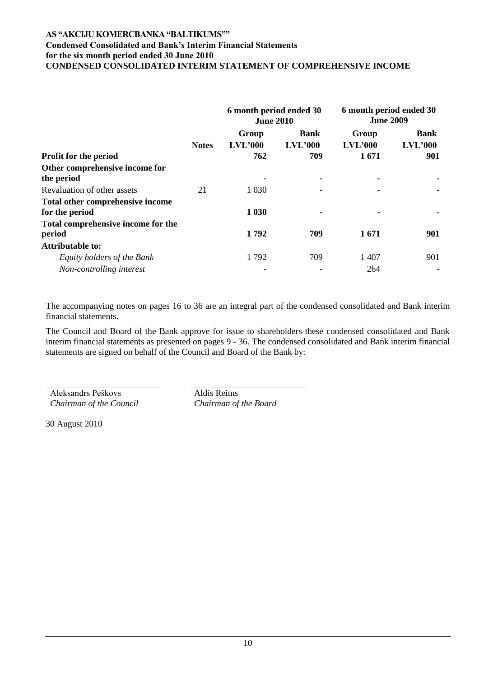### **AS "AKCIJU KOMERCBANKA "BALTIKUMS"" Condensed Consolidated and Bank's Interim Financial Statements for the six month period ended 30 June 2010 CONDENSED CONSOLIDATED INTERIM STATEMENT OF COMPREHENSIVE INCOME**

|                                                    |              | 6 month period ended 30<br><b>June 2010</b> |                        | 6 month period ended 30<br><b>June 2009</b> |                        |
|----------------------------------------------------|--------------|---------------------------------------------|------------------------|---------------------------------------------|------------------------|
|                                                    | <b>Notes</b> | Group<br>LVL'000                            | <b>Bank</b><br>LVL'000 | Group<br>LVL'000                            | <b>Bank</b><br>LVL'000 |
| Profit for the period                              |              | 762                                         | 709                    | 1671                                        | 901                    |
| Other comprehensive income for<br>the period       |              |                                             | $\blacksquare$         |                                             |                        |
| Revaluation of other assets                        | 21           | 1 0 3 0                                     |                        |                                             |                        |
| Total other comprehensive income<br>for the period |              | 1 0 30                                      | ٠                      |                                             |                        |
| Total comprehensive income for the<br>period       |              | 1792                                        | 709                    | 1671                                        | 901                    |
| <b>Attributable to:</b>                            |              |                                             |                        |                                             |                        |
| Equity holders of the Bank                         |              | 1792                                        | 709                    | 1 407                                       | 901                    |
| Non-controlling interest                           |              |                                             |                        | 264                                         |                        |

The accompanying notes on pages 16 to 36 are an integral part of the condensed consolidated and Bank interim financial statements.

The Council and Board of the Bank approve for issue to shareholders these condensed consolidated and Bank interim financial statements as presented on pages 9 - 36. The condensed consolidated and Bank interim financial statements are signed on behalf of the Council and Board of the Bank by:

Aleksandrs Peškovs *Chairman of the Council* Aldis Reims *Chairman of the Board*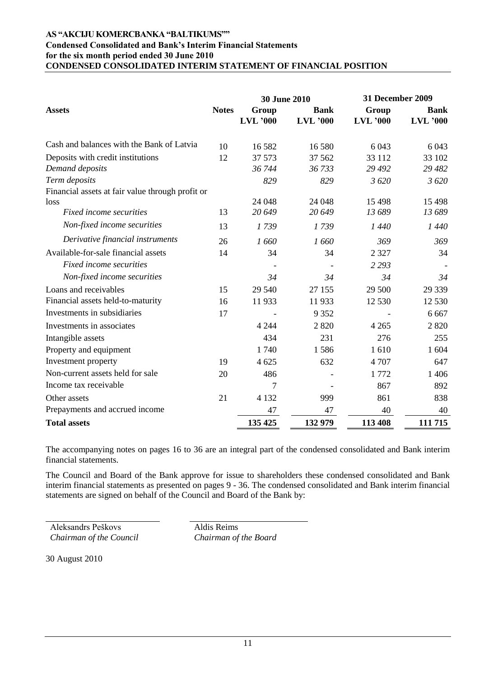#### **AS "AKCIJU KOMERCBANKA "BALTIKUMS"" Condensed Consolidated and Bank's Interim Financial Statements for the six month period ended 30 June 2010 CONDENSED CONSOLIDATED INTERIM STATEMENT OF FINANCIAL POSITION**

|                                                  |              | <b>30 June 2010</b> |                 | <b>31 December 2009</b> |                 |
|--------------------------------------------------|--------------|---------------------|-----------------|-------------------------|-----------------|
| <b>Assets</b>                                    | <b>Notes</b> | Group               | <b>Bank</b>     | Group                   | <b>Bank</b>     |
|                                                  |              | $LVL$ '000          | <b>LVL</b> '000 | $LVL$ '000              | <b>LVL</b> '000 |
| Cash and balances with the Bank of Latvia        | 10           | 16 5 8 2            | 16 580          | 6 0 43                  | 6 0 43          |
| Deposits with credit institutions                | 12           | 37 573              | 37 5 62         | 33 112                  | 33 102          |
| Demand deposits                                  |              | 36 744              | 36 733          | 29 4 92                 | 29 4 82         |
| Term deposits                                    |              | 829                 | 829             | 3620                    | 3 6 20          |
| Financial assets at fair value through profit or |              |                     |                 |                         |                 |
| loss                                             |              | 24 048              | 24 048          | 15 4 98                 | 15 4 98         |
| Fixed income securities                          | 13           | 20 649              | 20 649          | 13 689                  | 13 689          |
| Non-fixed income securities                      | 13           | 1739                | 1739            | 1440                    | 1 440           |
| Derivative financial instruments                 | 26           | 1660                | 1660            | 369                     | 369             |
| Available-for-sale financial assets              | 14           | 34                  | 34              | 2 3 2 7                 | 34              |
| Fixed income securities                          |              |                     |                 | 2 2 9 3                 |                 |
| Non-fixed income securities                      |              | 34                  | 34              | 34                      | 34              |
| Loans and receivables                            | 15           | 29 540              | 27 155          | 29 500                  | 29 339          |
| Financial assets held-to-maturity                | 16           | 11933               | 11933           | 12 530                  | 12 530          |
| Investments in subsidiaries                      | 17           |                     | 9 3 5 2         |                         | 6 6 6 7         |
| Investments in associates                        |              | 4 2 4 4             | 2 8 2 0         | 4 2 6 5                 | 2 8 2 0         |
| Intangible assets                                |              | 434                 | 231             | 276                     | 255             |
| Property and equipment                           |              | 1 740               | 1586            | 1610                    | 1 604           |
| Investment property                              | 19           | 4 6 25              | 632             | 4 707                   | 647             |
| Non-current assets held for sale                 | 20           | 486                 |                 | 1772                    | 1 4 0 6         |
| Income tax receivable                            |              | 7                   |                 | 867                     | 892             |
| Other assets                                     | 21           | 4 1 3 2             | 999             | 861                     | 838             |
| Prepayments and accrued income                   |              | 47                  | 47              | 40                      | 40              |
| <b>Total assets</b>                              |              | 135 425             | 132 979         | 113 408                 | 111 715         |

The accompanying notes on pages 16 to 36 are an integral part of the condensed consolidated and Bank interim financial statements.

The Council and Board of the Bank approve for issue to shareholders these condensed consolidated and Bank interim financial statements as presented on pages 9 - 36. The condensed consolidated and Bank interim financial statements are signed on behalf of the Council and Board of the Bank by:

Aleksandrs Peškovs *Chairman of the Council* Aldis Reims *Chairman of the Board*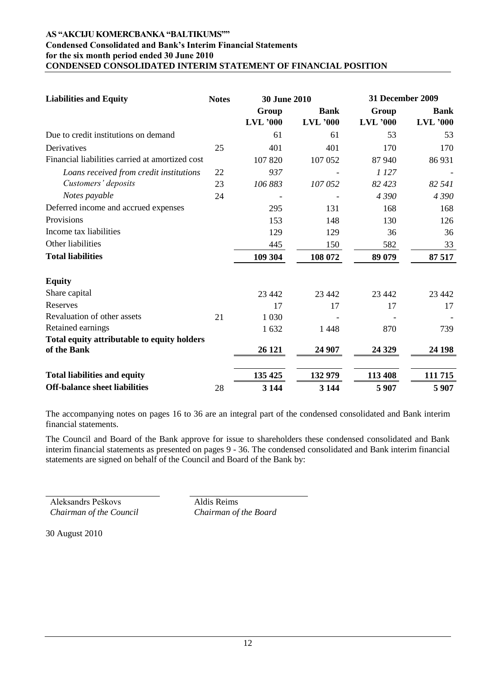#### **AS "AKCIJU KOMERCBANKA "BALTIKUMS"" Condensed Consolidated and Bank's Interim Financial Statements for the six month period ended 30 June 2010 CONDENSED CONSOLIDATED INTERIM STATEMENT OF FINANCIAL POSITION**

| <b>Liabilities and Equity</b>                   | <b>Notes</b> |                          | <b>30 June 2010</b>            |                     | <b>31 December 2009</b>        |  |
|-------------------------------------------------|--------------|--------------------------|--------------------------------|---------------------|--------------------------------|--|
|                                                 |              | Group<br><b>LVL</b> '000 | <b>Bank</b><br><b>LVL</b> '000 | Group<br>$LVL$ '000 | <b>Bank</b><br><b>LVL</b> '000 |  |
| Due to credit institutions on demand            |              | 61                       | 61                             | 53                  | 53                             |  |
| Derivatives                                     | 25           | 401                      | 401                            | 170                 | 170                            |  |
| Financial liabilities carried at amortized cost |              | 107 820                  | 107 052                        | 87 940              | 86 931                         |  |
| Loans received from credit institutions         | 22           | 937                      |                                | 1 127               |                                |  |
| Customers' deposits                             | 23           | 106 883                  | 107 052                        | 82 423              | 82 541                         |  |
| Notes payable                                   | 24           |                          |                                | 4 3 9 0             | 4390                           |  |
| Deferred income and accrued expenses            |              | 295                      | 131                            | 168                 | 168                            |  |
| Provisions                                      |              | 153                      | 148                            | 130                 | 126                            |  |
| Income tax liabilities                          |              | 129                      | 129                            | 36                  | 36                             |  |
| Other liabilities                               |              | 445                      | 150                            | 582                 | 33                             |  |
| <b>Total liabilities</b>                        |              | 109 304                  | 108 072                        | 89 079              | 87 517                         |  |
| <b>Equity</b>                                   |              |                          |                                |                     |                                |  |
| Share capital                                   |              | 23 4 4 2                 | 23 4 42                        | 23 442              | 23 4 42                        |  |
| Reserves                                        |              | 17                       | 17                             | 17                  | 17                             |  |
| Revaluation of other assets                     | 21           | 1 0 3 0                  |                                |                     |                                |  |
| Retained earnings                               |              | 1632                     | 1448                           | 870                 | 739                            |  |
| Total equity attributable to equity holders     |              |                          |                                |                     |                                |  |
| of the Bank                                     |              | 26 121                   | 24 907                         | 24 3 29             | 24 198                         |  |
| <b>Total liabilities and equity</b>             |              | 135 425                  | 132 979                        | 113 408             | 111 715                        |  |
| <b>Off-balance sheet liabilities</b>            | 28           | 3 1 4 4                  | 3 1 4 4                        | 5 9 0 7             | 5907                           |  |

The accompanying notes on pages 16 to 36 are an integral part of the condensed consolidated and Bank interim financial statements.

The Council and Board of the Bank approve for issue to shareholders these condensed consolidated and Bank interim financial statements as presented on pages 9 - 36. The condensed consolidated and Bank interim financial statements are signed on behalf of the Council and Board of the Bank by:

Aleksandrs Peškovs *Chairman of the Council* Aldis Reims *Chairman of the Board*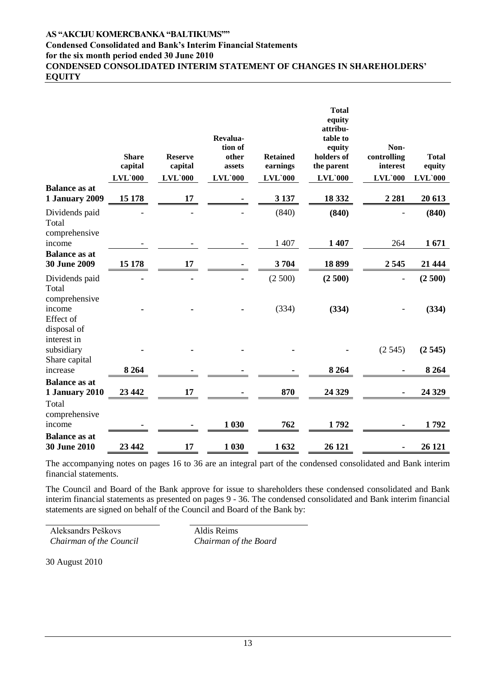# **AS "AKCIJU KOMERCBANKA "BALTIKUMS""**

# **Condensed Consolidated and Bank's Interim Financial Statements**

**for the six month period ended 30 June 2010**

**CONDENSED CONSOLIDATED INTERIM STATEMENT OF CHANGES IN SHAREHOLDERS" EQUITY**

|                                                     | <b>Share</b><br>capital<br><b>LVL`000</b> | <b>Reserve</b><br>capital<br>$LVL$ `000 | Revalua-<br>tion of<br>other<br>assets<br>$LVL$ `000 | <b>Retained</b><br>earnings<br>$LVL$ `000 | <b>Total</b><br>equity<br>attribu-<br>table to<br>equity<br>holders of<br>the parent<br>$LVL$ `000 | Non-<br>controlling<br>interest<br>$LVL$ `000 | <b>Total</b><br>equity<br>$LVL$ `000 |
|-----------------------------------------------------|-------------------------------------------|-----------------------------------------|------------------------------------------------------|-------------------------------------------|----------------------------------------------------------------------------------------------------|-----------------------------------------------|--------------------------------------|
| <b>Balance as at</b><br>1 January 2009              | 15 178                                    | 17                                      |                                                      | 3 1 3 7                                   | 18 3 32                                                                                            | 2 2 8 1                                       | 20 613                               |
| Dividends paid<br>Total<br>comprehensive            |                                           |                                         |                                                      | (840)                                     | (840)                                                                                              |                                               | (840)                                |
| income                                              |                                           |                                         |                                                      | 1 407                                     | 1 407                                                                                              | 264                                           | 1671                                 |
| <b>Balance as at</b><br>30 June 2009                | 15 178                                    | 17                                      |                                                      | 3704                                      | 18899                                                                                              | 2545                                          | 21 4 4 4                             |
| Dividends paid<br>Total                             |                                           |                                         |                                                      | (2500)                                    | (2500)                                                                                             | $\qquad \qquad \blacksquare$                  | (2500)                               |
| comprehensive<br>income<br>Effect of<br>disposal of |                                           |                                         |                                                      | (334)                                     | (334)                                                                                              |                                               | (334)                                |
| interest in<br>subsidiary<br>Share capital          |                                           |                                         |                                                      |                                           |                                                                                                    | (2545)                                        | (2545)                               |
| increase                                            | 8 2 6 4                                   |                                         |                                                      |                                           | 8 2 6 4                                                                                            |                                               | 8 2 6 4                              |
| <b>Balance as at</b><br>1 January 2010<br>Total     | 23 442                                    | 17                                      |                                                      | 870                                       | 24 3 29                                                                                            |                                               | 24 3 29                              |
| comprehensive<br>income                             |                                           |                                         | 1 0 30                                               | 762                                       | 1792                                                                                               |                                               | 1792                                 |
| <b>Balance as at</b><br><b>30 June 2010</b>         | 23 442                                    | 17                                      | 1 0 30                                               | 1632                                      | 26 121                                                                                             |                                               | 26 121                               |

The accompanying notes on pages 16 to 36 are an integral part of the condensed consolidated and Bank interim financial statements.

The Council and Board of the Bank approve for issue to shareholders these condensed consolidated and Bank interim financial statements as presented on pages 9 - 36. The condensed consolidated and Bank interim financial statements are signed on behalf of the Council and Board of the Bank by:

Aleksandrs Peškovs *Chairman of the Council* Aldis Reims *Chairman of the Board*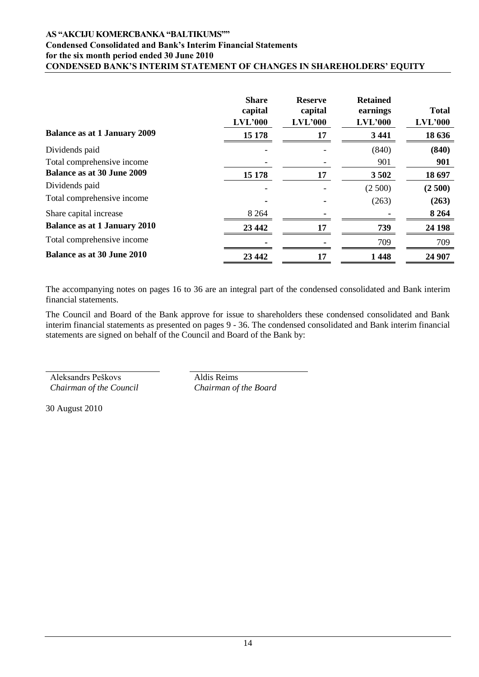## **AS "AKCIJU KOMERCBANKA "BALTIKUMS"" Condensed Consolidated and Bank's Interim Financial Statements for the six month period ended 30 June 2010 CONDENSED BANK"S INTERIM STATEMENT OF CHANGES IN SHAREHOLDERS" EQUITY**

|                                     | <b>Share</b><br>capital<br>$LVL$ '000 | <b>Reserve</b><br>capital<br>LVL'000 | <b>Retained</b><br>earnings<br>$LVL$ '000 | <b>Total</b><br>$LVL$ '000 |
|-------------------------------------|---------------------------------------|--------------------------------------|-------------------------------------------|----------------------------|
| <b>Balance as at 1 January 2009</b> | 15 178                                | 17                                   | 3 4 4 1                                   | 18 636                     |
| Dividends paid                      |                                       |                                      | (840)                                     | (840)                      |
| Total comprehensive income          |                                       |                                      | 901                                       | 901                        |
| <b>Balance as at 30 June 2009</b>   | 15 178                                | 17                                   | 3502                                      | 18 697                     |
| Dividends paid                      |                                       |                                      | (2500)                                    | (2500)                     |
| Total comprehensive income          |                                       |                                      | (263)                                     | (263)                      |
| Share capital increase              | 8 2 6 4                               |                                      |                                           | 8 2 6 4                    |
| <b>Balance as at 1 January 2010</b> | 23 4 42                               | 17                                   | 739                                       | 24 198                     |
| Total comprehensive income          |                                       |                                      | 709                                       | 709                        |
| <b>Balance as at 30 June 2010</b>   | 23 4 42                               | 17                                   | 1448                                      | 24 907                     |

The accompanying notes on pages 16 to 36 are an integral part of the condensed consolidated and Bank interim financial statements.

The Council and Board of the Bank approve for issue to shareholders these condensed consolidated and Bank interim financial statements as presented on pages 9 - 36. The condensed consolidated and Bank interim financial statements are signed on behalf of the Council and Board of the Bank by:

Aleksandrs Peškovs *Chairman of the Council* Aldis Reims *Chairman of the Board*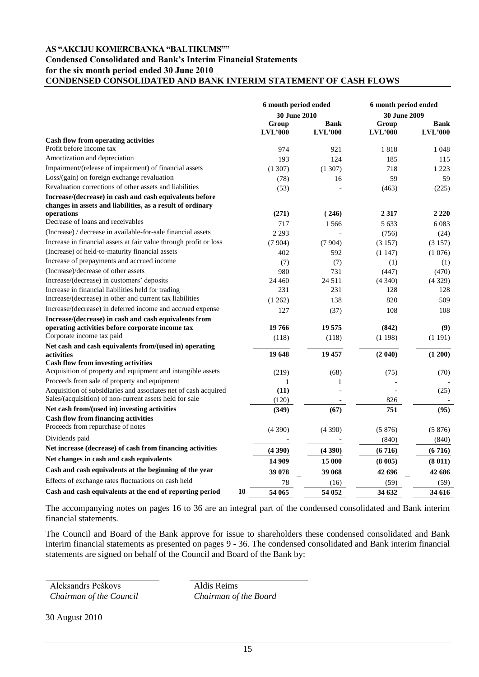#### **AS "AKCIJU KOMERCBANKA "BALTIKUMS""**

### **Condensed Consolidated and Bank's Interim Financial Statements for the six month period ended 30 June 2010 CONDENSED CONSOLIDATED AND BANK INTERIM STATEMENT OF CASH FLOWS**

|                                                                                                                       | 6 month period ended |             | 6 month period ended |                |
|-----------------------------------------------------------------------------------------------------------------------|----------------------|-------------|----------------------|----------------|
|                                                                                                                       | 30 June 2010         |             | 30 June 2009         |                |
|                                                                                                                       | Group                | <b>Bank</b> | Group                | <b>Bank</b>    |
|                                                                                                                       | LVL'000              | LVL'000     | LVL'000              | <b>LVL'000</b> |
| Cash flow from operating activities<br>Profit before income tax                                                       |                      |             |                      |                |
|                                                                                                                       | 974                  | 921         | 1818                 | 1 0 4 8        |
| Amortization and depreciation                                                                                         | 193                  | 124         | 185                  | 115            |
| Impairment/(release of impairment) of financial assets                                                                | (1307)               | (1307)      | 718                  | 1 2 2 3        |
| Loss/(gain) on foreign exchange revaluation                                                                           | (78)                 | 16          | 59                   | 59             |
| Revaluation corrections of other assets and liabilities                                                               | (53)                 |             | (463)                | (225)          |
| Increase/(decrease) in cash and cash equivalents before<br>changes in assets and liabilities, as a result of ordinary |                      |             |                      |                |
| operations                                                                                                            | (271)                | (246)       | 2 3 1 7              | 2 2 2 0        |
| Decrease of loans and receivables                                                                                     | 717                  | 1566        | 5 6 3 3              | 6 0 8 3        |
| (Increase) / decrease in available-for-sale financial assets                                                          | 2 2 9 3              |             | (756)                | (24)           |
| Increase in financial assets at fair value through profit or loss                                                     | (7904)               | (7904)      | (3157)               | (3157)         |
| (Increase) of held-to-maturity financial assets                                                                       | 402                  | 592         | (1147)               | (1076)         |
| Increase of prepayments and accrued income                                                                            | (7)                  | (7)         | (1)                  | (1)            |
| (Increase)/decrease of other assets                                                                                   | 980                  | 731         | (447)                | (470)          |
| Increase/(decrease) in customers' deposits                                                                            | 24 4 6 0             | 24 5 11     | (4340)               | (4329)         |
| Increase in financial liabilities held for trading                                                                    | 231                  | 231         | 128                  | 128            |
| Increase/(decrease) in other and current tax liabilities                                                              | (1262)               | 138         | 820                  | 509            |
| Increase/(decrease) in deferred income and accrued expense                                                            | 127                  | (37)        | 108                  | 108            |
| Increase/(decrease) in cash and cash equivalents from                                                                 |                      |             |                      |                |
| operating activities before corporate income tax                                                                      | 19766                | 19 575      | (842)                | (9)            |
| Corporate income tax paid                                                                                             | (118)                | (118)       | (1198)               | (1191)         |
| Net cash and cash equivalents from/(used in) operating                                                                |                      |             |                      |                |
| activities                                                                                                            | 19648                | 19 457      | (2 040)              | (1 200)        |
| <b>Cash flow from investing activities</b>                                                                            |                      |             |                      |                |
| Acquisition of property and equipment and intangible assets                                                           | (219)                | (68)        | (75)                 | (70)           |
| Proceeds from sale of property and equipment                                                                          | 1                    | 1           |                      |                |
| Acquisition of subsidiaries and associates net of cash acquired                                                       | (11)                 |             |                      | (25)           |
| Sales/(acquisition) of non-current assets held for sale                                                               | (120)                |             | 826                  |                |
| Net cash from/(used in) investing activities                                                                          | (349)                | (67)        | 751                  | (95)           |
| <b>Cash flow from financing activities</b>                                                                            |                      |             |                      |                |
| Proceeds from repurchase of notes                                                                                     | (4390)               | (4390)      | (5876)               | (5876)         |
| Dividends paid                                                                                                        |                      |             | (840)                | (840)          |
| Net increase (decrease) of cash from financing activities                                                             | (4390)               | (4390)      | (6716)               | (6716)         |
| Net changes in cash and cash equivalents                                                                              | 14 909               | 15 000      | (8005)               | (8011)         |
| Cash and cash equivalents at the beginning of the year                                                                | 39 078               | 39 068      | 42 696               | 42 686         |
| Effects of exchange rates fluctuations on cash held                                                                   | 78                   | (16)        | (59)                 | (59)           |
| 10<br>Cash and cash equivalents at the end of reporting period                                                        | 54 065               | 54 052      | 34 632               | 34 616         |

The accompanying notes on pages 16 to 36 are an integral part of the condensed consolidated and Bank interim financial statements.

The Council and Board of the Bank approve for issue to shareholders these condensed consolidated and Bank interim financial statements as presented on pages 9 - 36. The condensed consolidated and Bank interim financial statements are signed on behalf of the Council and Board of the Bank by:

Aleksandrs Peškovs *Chairman of the Council*

Aldis Reims *Chairman of the Board*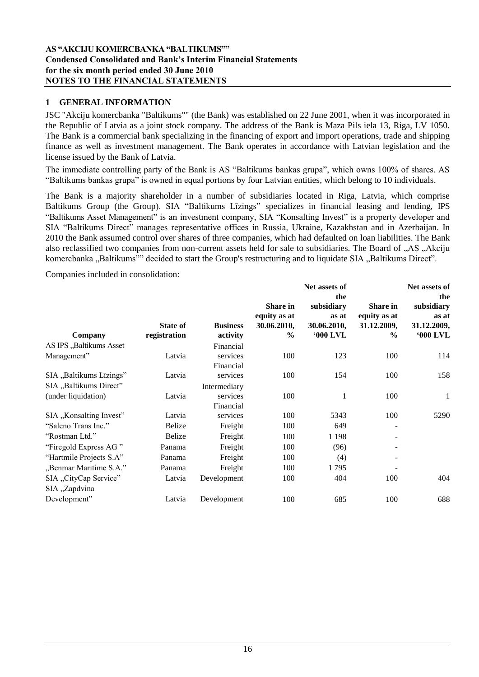# **1 GENERAL INFORMATION**

JSC "Akciju komercbanka "Baltikums"" (the Bank) was established on 22 June 2001, when it was incorporated in the Republic of Latvia as a joint stock company. The address of the Bank is Maza Pils iela 13, Riga, LV 1050. The Bank is a commercial bank specializing in the financing of export and import operations, trade and shipping finance as well as investment management. The Bank operates in accordance with Latvian legislation and the license issued by the Bank of Latvia.

The immediate controlling party of the Bank is AS "Baltikums bankas grupa", which owns 100% of shares. AS "Baltikums bankas grupa" is owned in equal portions by four Latvian entities, which belong to 10 individuals.

The Bank is a majority shareholder in a number of subsidiaries located in Riga, Latvia, which comprise Baltikums Group (the Group). SIA "Baltikums Līzings" specializes in financial leasing and lending, IPS "Baltikums Asset Management" is an investment company, SIA "Konsalting Invest" is a property developer and SIA "Baltikums Direct" manages representative offices in Russia, Ukraine, Kazakhstan and in Azerbaijan. In 2010 the Bank assumed control over shares of three companies, which had defaulted on loan liabilities. The Bank also reclassified two companies from non-current assets held for sale to subsidiaries. The Board of "AS" Akciju komercbanka "Baltikums"" decided to start the Group's restructuring and to liquidate SIA "Baltikums Direct".

Companies included in consolidation:

|                                        |                 |                       |                                                        | Net assets of                                                |                                                                 | Net assets of                                                |
|----------------------------------------|-----------------|-----------------------|--------------------------------------------------------|--------------------------------------------------------------|-----------------------------------------------------------------|--------------------------------------------------------------|
|                                        | <b>State of</b> | <b>Business</b>       | <b>Share in</b><br>equity as at<br>30.06.2010,<br>$\%$ | the<br>subsidiary<br>as at<br>30.06.2010,<br><b>'000 LVL</b> | <b>Share in</b><br>equity as at<br>31.12.2009,<br>$\frac{6}{9}$ | the<br>subsidiary<br>as at<br>31.12.2009,<br><b>'000 LVL</b> |
| Company<br>AS IPS "Baltikums Asset     | registration    | activity<br>Financial |                                                        |                                                              |                                                                 |                                                              |
| Management"                            | Latvia          | services<br>Financial | 100                                                    | 123                                                          | 100                                                             | 114                                                          |
| SIA "Baltikums Līzings"                | Latvia          | services              | 100                                                    | 154                                                          | 100                                                             | 158                                                          |
| SIA "Baltikums Direct"                 |                 | Intermediary          |                                                        |                                                              |                                                                 |                                                              |
| (under liquidation)                    | Latvia          | services<br>Financial | 100                                                    | 1                                                            | 100                                                             | $\mathbf{1}$                                                 |
| SIA "Konsalting Invest"                | Latvia          | services              | 100                                                    | 5343                                                         | 100                                                             | 5290                                                         |
| "Saleno Trans Inc."                    | <b>Belize</b>   | Freight               | 100                                                    | 649                                                          |                                                                 |                                                              |
| "Rostman Ltd."                         | <b>Belize</b>   | Freight               | 100                                                    | 1 1 9 8                                                      |                                                                 |                                                              |
| "Firegold Express AG"                  | Panama          | Freight               | 100                                                    | (96)                                                         |                                                                 |                                                              |
| "Hartmile Projects S.A"                | Panama          | Freight               | 100                                                    | (4)                                                          |                                                                 |                                                              |
| "Benmar Maritime S.A."                 | Panama          | Freight               | 100                                                    | 1795                                                         |                                                                 |                                                              |
| SIA "CityCap Service"<br>SIA "Zapdvina | Latvia          | Development           | 100                                                    | 404                                                          | 100                                                             | 404                                                          |
| Development"                           | Latvia          | Development           | 100                                                    | 685                                                          | 100                                                             | 688                                                          |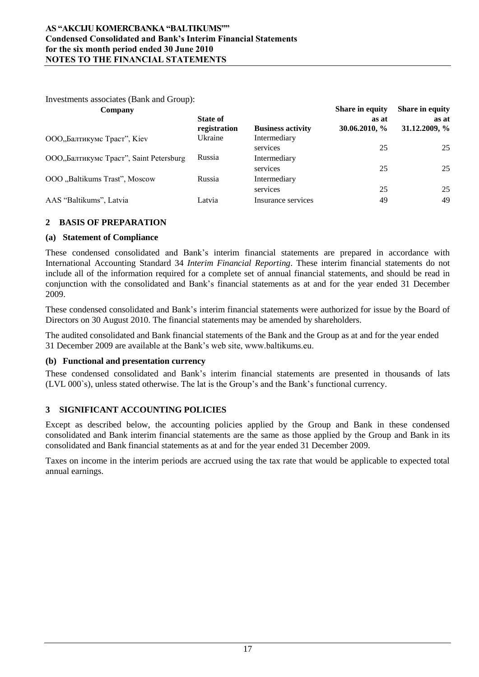Investments associates (Bank and Group):

| Company                                |                 |                          | <b>Share in equity</b> | <b>Share in equity</b> |
|----------------------------------------|-----------------|--------------------------|------------------------|------------------------|
|                                        | <b>State of</b> |                          | as at                  | as at                  |
|                                        | registration    | <b>Business activity</b> | 30.06.2010, %          | 31.12.2009, %          |
| ООО"Балтикумс Траст", Kiev             | Ukraine         | Intermediary             |                        |                        |
|                                        |                 | services                 | 25                     | 25                     |
| ООО"Балтикумс Траст", Saint Petersburg | Russia          | Intermediary             |                        |                        |
|                                        |                 | services                 | 25                     | 25                     |
| OOO "Baltikums Trast", Moscow          | Russia          | Intermediary             |                        |                        |
|                                        |                 | services                 | 25                     | 25                     |
| AAS "Baltikums", Latvia                | Latvia          | Insurance services       | 49                     | 49                     |

# **2 BASIS OF PREPARATION**

# **(a) Statement of Compliance**

These condensed consolidated and Bank"s interim financial statements are prepared in accordance with International Accounting Standard 34 *Interim Financial Reporting*. These interim financial statements do not include all of the information required for a complete set of annual financial statements, and should be read in conjunction with the consolidated and Bank"s financial statements as at and for the year ended 31 December 2009.

These condensed consolidated and Bank"s interim financial statements were authorized for issue by the Board of Directors on 30 August 2010. The financial statements may be amended by shareholders.

The audited consolidated and Bank financial statements of the Bank and the Group as at and for the year ended 31 December 2009 are available at the Bank"s web site, www.baltikums.eu.

# **(b) Functional and presentation currency**

These condensed consolidated and Bank"s interim financial statements are presented in thousands of lats (LVL 000`s), unless stated otherwise. The lat is the Group"s and the Bank"s functional currency.

# **3 SIGNIFICANT ACCOUNTING POLICIES**

Except as described below, the accounting policies applied by the Group and Bank in these condensed consolidated and Bank interim financial statements are the same as those applied by the Group and Bank in its consolidated and Bank financial statements as at and for the year ended 31 December 2009.

Taxes on income in the interim periods are accrued using the tax rate that would be applicable to expected total annual earnings.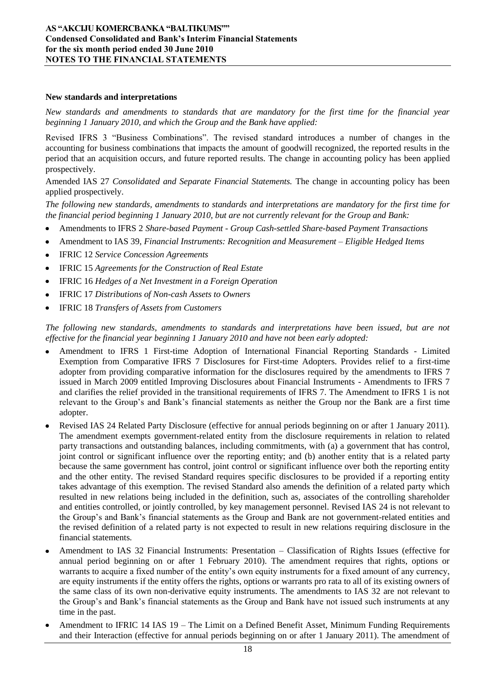#### **New standards and interpretations**

*New standards and amendments to standards that are mandatory for the first time for the financial year beginning 1 January 2010, and which the Group and the Bank have applied:*

Revised IFRS 3 "Business Combinations". The revised standard introduces a number of changes in the accounting for business combinations that impacts the amount of goodwill recognized, the reported results in the period that an acquisition occurs, and future reported results. The change in accounting policy has been applied prospectively.

Amended IAS 27 *Consolidated and Separate Financial Statements.* The change in accounting policy has been applied prospectively.

*The following new standards, amendments to standards and interpretations are mandatory for the first time for the financial period beginning 1 January 2010, but are not currently relevant for the Group and Bank:*

- Amendments to IFRS 2 *Share-based Payment - Group Cash-settled Share-based Payment Transactions*
- $\bullet$ Amendment to IAS 39, *Financial Instruments: Recognition and Measurement – Eligible Hedged Items*
- IFRIC 12 *Service Concession Agreements*
- IFRIC 15 *Agreements for the Construction of Real Estate*  $\bullet$
- IFRIC 16 *Hedges of a Net Investment in a Foreign Operation*
- IFRIC 17 *Distributions of Non-cash Assets to Owners*
- IFRIC 18 *Transfers of Assets from Customers*

*The following new standards, amendments to standards and interpretations have been issued, but are not effective for the financial year beginning 1 January 2010 and have not been early adopted:* 

- Amendment to IFRS 1 First-time Adoption of International Financial Reporting Standards Limited Exemption from Comparative IFRS 7 Disclosures for First-time Adopters. Provides relief to a first-time adopter from providing comparative information for the disclosures required by the amendments to IFRS 7 issued in March 2009 entitled Improving Disclosures about Financial Instruments - Amendments to IFRS 7 and clarifies the relief provided in the transitional requirements of IFRS 7. The Amendment to IFRS 1 is not relevant to the Group"s and Bank"s financial statements as neither the Group nor the Bank are a first time adopter.
- Revised IAS 24 Related Party Disclosure (effective for annual periods beginning on or after 1 January 2011). The amendment exempts government-related entity from the disclosure requirements in relation to related party transactions and outstanding balances, including commitments, with (a) a government that has control, joint control or significant influence over the reporting entity; and (b) another entity that is a related party because the same government has control, joint control or significant influence over both the reporting entity and the other entity. The revised Standard requires specific disclosures to be provided if a reporting entity takes advantage of this exemption. The revised Standard also amends the definition of a related party which resulted in new relations being included in the definition, such as, associates of the controlling shareholder and entities controlled, or jointly controlled, by key management personnel. Revised IAS 24 is not relevant to the Group"s and Bank"s financial statements as the Group and Bank are not government-related entities and the revised definition of a related party is not expected to result in new relations requiring disclosure in the financial statements.
- Amendment to IAS 32 Financial Instruments: Presentation Classification of Rights Issues (effective for annual period beginning on or after 1 February 2010). The amendment requires that rights, options or warrants to acquire a fixed number of the entity's own equity instruments for a fixed amount of any currency, are equity instruments if the entity offers the rights, options or warrants pro rata to all of its existing owners of the same class of its own non-derivative equity instruments. The amendments to IAS 32 are not relevant to the Group"s and Bank"s financial statements as the Group and Bank have not issued such instruments at any time in the past.
- Amendment to IFRIC 14 IAS 19 The Limit on a Defined Benefit Asset, Minimum Funding Requirements and their Interaction (effective for annual periods beginning on or after 1 January 2011). The amendment of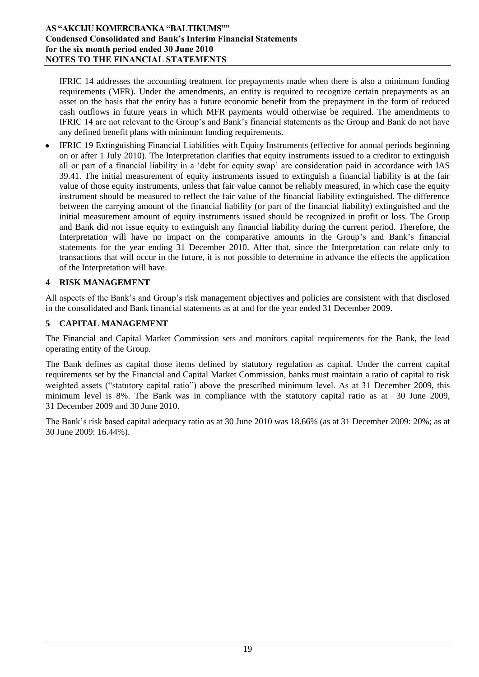### **AS "AKCIJU KOMERCBANKA "BALTIKUMS"" Condensed Consolidated and Bank's Interim Financial Statements for the six month period ended 30 June 2010 NOTES TO THE FINANCIAL STATEMENTS**

IFRIC 14 addresses the accounting treatment for prepayments made when there is also a minimum funding requirements (MFR). Under the amendments, an entity is required to recognize certain prepayments as an asset on the basis that the entity has a future economic benefit from the prepayment in the form of reduced cash outflows in future years in which MFR payments would otherwise be required. The amendments to IFRIC 14 are not relevant to the Group"s and Bank"s financial statements as the Group and Bank do not have any defined benefit plans with minimum funding requirements.

IFRIC 19 Extinguishing Financial Liabilities with Equity Instruments (effective for annual periods beginning on or after 1 July 2010). The Interpretation clarifies that equity instruments issued to a creditor to extinguish all or part of a financial liability in a "debt for equity swap" are consideration paid in accordance with IAS 39.41. The initial measurement of equity instruments issued to extinguish a financial liability is at the fair value of those equity instruments, unless that fair value cannot be reliably measured, in which case the equity instrument should be measured to reflect the fair value of the financial liability extinguished. The difference between the carrying amount of the financial liability (or part of the financial liability) extinguished and the initial measurement amount of equity instruments issued should be recognized in profit or loss. The Group and Bank did not issue equity to extinguish any financial liability during the current period. Therefore, the Interpretation will have no impact on the comparative amounts in the Group"s and Bank"s financial statements for the year ending 31 December 2010. After that, since the Interpretation can relate only to transactions that will occur in the future, it is not possible to determine in advance the effects the application of the Interpretation will have.

# **4 RISK MANAGEMENT**

All aspects of the Bank"s and Group"s risk management objectives and policies are consistent with that disclosed in the consolidated and Bank financial statements as at and for the year ended 31 December 2009.

# **5 CAPITAL MANAGEMENT**

The Financial and Capital Market Commission sets and monitors capital requirements for the Bank, the lead operating entity of the Group.

The Bank defines as capital those items defined by statutory regulation as capital. Under the current capital requirements set by the Financial and Capital Market Commission, banks must maintain a ratio of capital to risk weighted assets ("statutory capital ratio") above the prescribed minimum level. As at 31 December 2009, this minimum level is 8%. The Bank was in compliance with the statutory capital ratio as at 30 June 2009, 31 December 2009 and 30 June 2010.

The Bank"s risk based capital adequacy ratio as at 30 June 2010 was 18.66% (as at 31 December 2009: 20%; as at 30 June 2009: 16.44%).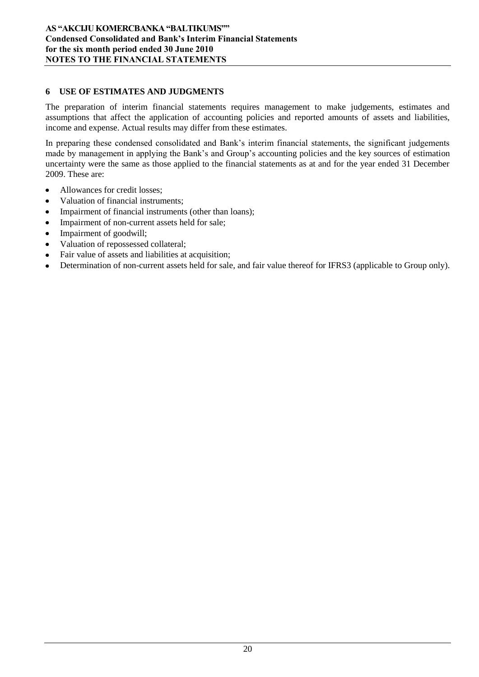# **6 USE OF ESTIMATES AND JUDGMENTS**

The preparation of interim financial statements requires management to make judgements, estimates and assumptions that affect the application of accounting policies and reported amounts of assets and liabilities, income and expense. Actual results may differ from these estimates.

In preparing these condensed consolidated and Bank's interim financial statements, the significant judgements made by management in applying the Bank's and Group's accounting policies and the key sources of estimation uncertainty were the same as those applied to the financial statements as at and for the year ended 31 December 2009. These are:

- Allowances for credit losses;
- Valuation of financial instruments;
- Impairment of financial instruments (other than loans);
- Impairment of non-current assets held for sale;  $\bullet$
- Impairment of goodwill;  $\bullet$
- Valuation of repossessed collateral;  $\bullet$
- Fair value of assets and liabilities at acquisition;  $\bullet$
- Determination of non-current assets held for sale, and fair value thereof for IFRS3 (applicable to Group only). $\bullet$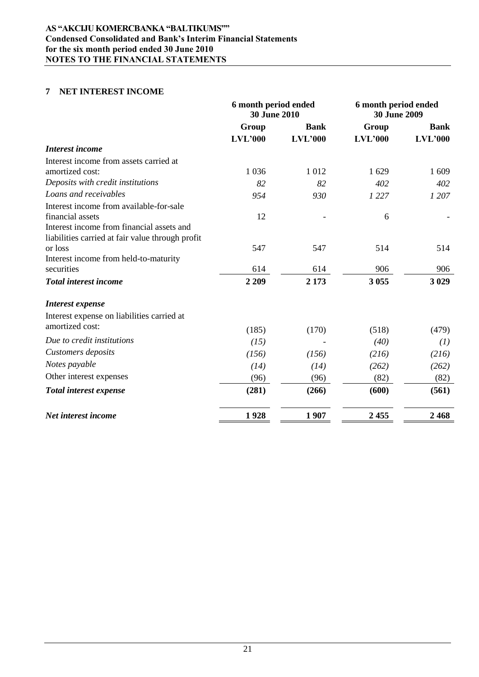# **7 NET INTEREST INCOME**

|                                                  | 6 month period ended<br><b>30 June 2010</b> |             | 6 month period ended<br><b>30 June 2009</b> |             |
|--------------------------------------------------|---------------------------------------------|-------------|---------------------------------------------|-------------|
|                                                  | Group                                       | <b>Bank</b> | Group                                       | <b>Bank</b> |
|                                                  | LVL'000                                     | LVL'000     | LVL'000                                     | LVL'000     |
| Interest income                                  |                                             |             |                                             |             |
| Interest income from assets carried at           |                                             |             |                                             |             |
| amortized cost:                                  | 1 0 3 6                                     | 1012        | 1629                                        | 1 609       |
| Deposits with credit institutions                | 82                                          | 82          | 402                                         | 402         |
| Loans and receivables                            | 954                                         | 930         | 1 2 2 7                                     | 1 207       |
| Interest income from available-for-sale          |                                             |             |                                             |             |
| financial assets                                 | 12                                          |             | 6                                           |             |
| Interest income from financial assets and        |                                             |             |                                             |             |
| liabilities carried at fair value through profit |                                             |             |                                             |             |
| or loss                                          | 547                                         | 547         | 514                                         | 514         |
| Interest income from held-to-maturity            |                                             |             |                                             |             |
| securities                                       | 614                                         | 614         | 906                                         | 906         |
| <b>Total interest income</b>                     | 2 2 0 9                                     | 2 1 7 3     | 3 0 5 5                                     | 3 0 29      |
| Interest expense                                 |                                             |             |                                             |             |
| Interest expense on liabilities carried at       |                                             |             |                                             |             |
| amortized cost:                                  | (185)                                       | (170)       | (518)                                       | (479)       |
| Due to credit institutions                       | (15)                                        |             | (40)                                        | (1)         |
| Customers deposits                               | (156)                                       | (156)       | (216)                                       | (216)       |
| Notes payable                                    | (14)                                        | (14)        | (262)                                       | (262)       |
| Other interest expenses                          | (96)                                        | (96)        | (82)                                        | (82)        |
| Total interest expense                           | (281)                                       | (266)       | (600)                                       | (561)       |
| Net interest income                              | 1928                                        | 1907        | 2455                                        | 2468        |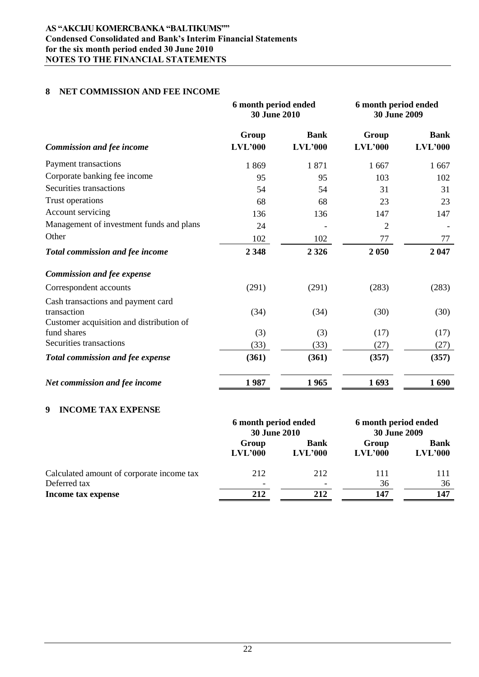# **AS "AKCIJU KOMERCBANKA "BALTIKUMS"" Condensed Consolidated and Bank's Interim Financial Statements for the six month period ended 30 June 2010 NOTES TO THE FINANCIAL STATEMENTS**

### **8 NET COMMISSION AND FEE INCOME**

|                                          | 6 month period ended<br>30 June 2010 |                        | 6 month period ended<br><b>30 June 2009</b> |                        |
|------------------------------------------|--------------------------------------|------------------------|---------------------------------------------|------------------------|
| <b>Commission and fee income</b>         | Group<br>LVL'000                     | <b>Bank</b><br>LVL'000 | Group<br>LVL'000                            | <b>Bank</b><br>LVL'000 |
| Payment transactions                     | 1869                                 | 1871                   | 1667                                        | 1667                   |
| Corporate banking fee income             | 95                                   | 95                     | 103                                         | 102                    |
| Securities transactions                  | 54                                   | 54                     | 31                                          | 31                     |
| Trust operations                         | 68                                   | 68                     | 23                                          | 23                     |
| Account servicing                        | 136                                  | 136                    | 147                                         | 147                    |
| Management of investment funds and plans | 24                                   |                        | $\overline{2}$                              |                        |
| Other                                    | 102                                  | 102                    | 77                                          | 77                     |
| Total commission and fee income          | 2 3 4 8                              | 2 3 2 6                | 2 0 5 0                                     | 2 0 4 7                |
| <b>Commission and fee expense</b>        |                                      |                        |                                             |                        |
| Correspondent accounts                   | (291)                                | (291)                  | (283)                                       | (283)                  |
| Cash transactions and payment card       |                                      |                        |                                             |                        |
| transaction                              | (34)                                 | (34)                   | (30)                                        | (30)                   |
| Customer acquisition and distribution of |                                      |                        |                                             |                        |
| fund shares                              | (3)                                  | (3)                    | (17)                                        | (17)                   |
| Securities transactions                  | (33)                                 | (33)                   | (27)                                        | (27)                   |
| <b>Total commission and fee expense</b>  | (361)                                | (361)                  | (357)                                       | (357)                  |
| Net commission and fee income            | 1987                                 | 1965                   | 1693                                        | 1690                   |

# **9 INCOME TAX EXPENSE**

|                                           | 6 month period ended<br>30 June 2010 |                          | 6 month period ended<br><b>30 June 2009</b> |                        |
|-------------------------------------------|--------------------------------------|--------------------------|---------------------------------------------|------------------------|
|                                           | Group<br>LVL'000                     | <b>Bank</b><br>LVL'000   | Group<br>LVL'000                            | <b>Bank</b><br>LVL'000 |
| Calculated amount of corporate income tax | 212                                  | 212                      | 111                                         | 111                    |
| Deferred tax                              | -                                    | $\overline{\phantom{0}}$ | 36                                          | 36                     |
| Income tax expense                        | 212                                  | 212                      | 147                                         | 147                    |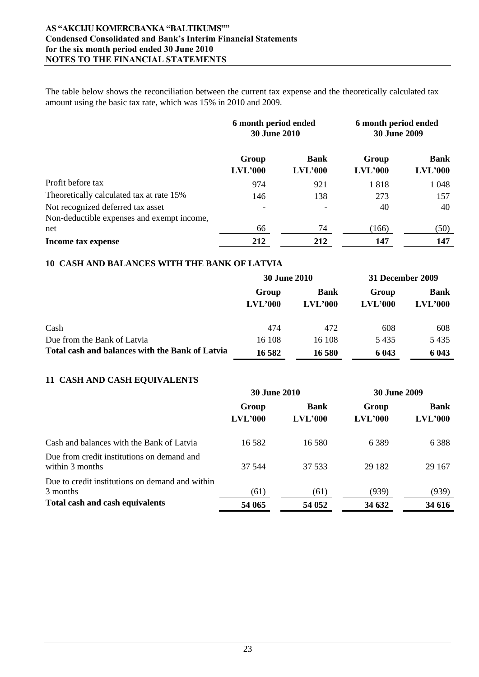### **AS "AKCIJU KOMERCBANKA "BALTIKUMS"" Condensed Consolidated and Bank's Interim Financial Statements for the six month period ended 30 June 2010 NOTES TO THE FINANCIAL STATEMENTS**

The table below shows the reconciliation between the current tax expense and the theoretically calculated tax amount using the basic tax rate, which was 15% in 2010 and 2009.

|                                                                                 | 6 month period ended<br><b>30 June 2010</b> |                        | 6 month period ended<br><b>30 June 2009</b> |                        |
|---------------------------------------------------------------------------------|---------------------------------------------|------------------------|---------------------------------------------|------------------------|
|                                                                                 | Group<br>LVL'000                            | <b>Bank</b><br>LVL'000 | Group<br>LVL'000                            | <b>Bank</b><br>LVL'000 |
| Profit before tax                                                               | 974                                         | 921                    | 1818                                        | 1 0 4 8                |
| Theoretically calculated tax at rate 15%                                        | 146                                         | 138                    | 273                                         | 157                    |
| Not recognized deferred tax asset<br>Non-deductible expenses and exempt income, |                                             |                        | 40                                          | 40                     |
| net                                                                             | 66                                          | 74                     | (166)                                       | (50)                   |
| Income tax expense                                                              | 212                                         | 212                    | 147                                         | 147                    |

# **10 CASH AND BALANCES WITH THE BANK OF LATVIA**

|                                                 | <b>30 June 2010</b> |                        | 31 December 2009 |                        |
|-------------------------------------------------|---------------------|------------------------|------------------|------------------------|
|                                                 | Group<br>LVL'000    | <b>Bank</b><br>LVL'000 | Group<br>LVL'000 | <b>Bank</b><br>LVL'000 |
| Cash                                            | 474                 | 472                    | 608              | 608                    |
| Due from the Bank of Latvia                     | 16 108              | 16 108                 | 5435             | 5435                   |
| Total cash and balances with the Bank of Latvia | 16 5 82             | 16 580                 | 6 0 43           | 6 0 43                 |

# **11 CASH AND CASH EQUIVALENTS**

|                                                               | <b>30 June 2010</b> |                        | <b>30 June 2009</b> |                        |
|---------------------------------------------------------------|---------------------|------------------------|---------------------|------------------------|
|                                                               | Group<br>LVL'000    | <b>Bank</b><br>LVL'000 | Group<br>LVL'000    | <b>Bank</b><br>LVL'000 |
| Cash and balances with the Bank of Latvia                     | 16.582              | 16.580                 | 6 3 8 9             | 6 3 8 8                |
| Due from credit institutions on demand and<br>within 3 months | 37 544              | 37 533                 | 29 182              | 29 167                 |
| Due to credit institutions on demand and within<br>3 months   | (61)                | (61)                   | (939)               | (939)                  |
| Total cash and cash equivalents                               | 54 065              | 54 052                 | 34 632              | 34 616                 |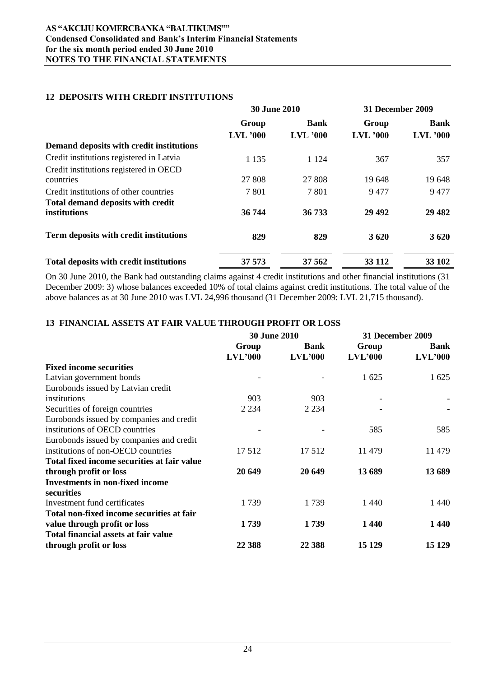# **12 DEPOSITS WITH CREDIT INSTITUTIONS**

|                                                | <b>30 June 2010</b> |             | 31 December 2009 |             |
|------------------------------------------------|---------------------|-------------|------------------|-------------|
|                                                | Group               | <b>Bank</b> | Group            | <b>Bank</b> |
|                                                | $LVL$ '000          | $LVL$ '000  | $LVL$ '000       | $LVL$ '000  |
| Demand deposits with credit institutions       |                     |             |                  |             |
| Credit institutions registered in Latvia       | 1 1 3 5             | 1 1 2 4     | 367              | 357         |
| Credit institutions registered in OECD         |                     |             |                  |             |
| countries                                      | 27 808              | 27 808      | 19648            | 19648       |
| Credit institutions of other countries         | 7 8 0 1             | 7801        | 9477             | 9477        |
| <b>Total demand deposits with credit</b>       |                     |             |                  |             |
| institutions                                   | 36 744              | 36 733      | 29 4 9 2         | 29 4 82     |
| Term deposits with credit institutions         | 829                 | 829         | 3620             | 3620        |
| <b>Total deposits with credit institutions</b> | 37 573              | 37 562      | 33 112           | 33 102      |

On 30 June 2010, the Bank had outstanding claims against 4 credit institutions and other financial institutions (31 December 2009: 3) whose balances exceeded 10% of total claims against credit institutions. The total value of the above balances as at 30 June 2010 was LVL 24,996 thousand (31 December 2009: LVL 21,715 thousand).

# **13 FINANCIAL ASSETS AT FAIR VALUE THROUGH PROFIT OR LOSS**

|                                             | 30 June 2010     |                        | 31 December 2009 |                 |
|---------------------------------------------|------------------|------------------------|------------------|-----------------|
|                                             | Group<br>LVL'000 | <b>Bank</b><br>LVL'000 | Group<br>LVL'000 | Bank<br>LVL'000 |
| <b>Fixed income securities</b>              |                  |                        |                  |                 |
| Latvian government bonds                    |                  |                        | 1 625            | 1 625           |
| Eurobonds issued by Latvian credit          |                  |                        |                  |                 |
| institutions                                | 903              | 903                    |                  |                 |
| Securities of foreign countries             | 2 2 3 4          | 2 2 3 4                |                  |                 |
| Eurobonds issued by companies and credit    |                  |                        |                  |                 |
| institutions of OECD countries              |                  |                        | 585              | 585             |
| Eurobonds issued by companies and credit    |                  |                        |                  |                 |
| institutions of non-OECD countries          | 17512            | 17512                  | 11479            | 11 479          |
| Total fixed income securities at fair value |                  |                        |                  |                 |
| through profit or loss                      | 20 649           | 20 649                 | 13 689           | 13 689          |
| <b>Investments in non-fixed income</b>      |                  |                        |                  |                 |
| securities                                  |                  |                        |                  |                 |
| Investment fund certificates                | 1739             | 1739                   | 1440             | 1440            |
| Total non-fixed income securities at fair   |                  |                        |                  |                 |
| value through profit or loss                | 1739             | 1739                   | 1440             | 1440            |
| Total financial assets at fair value        |                  |                        |                  |                 |
| through profit or loss                      | 22 388           | 22 388                 | 15 1 29          | 15 129          |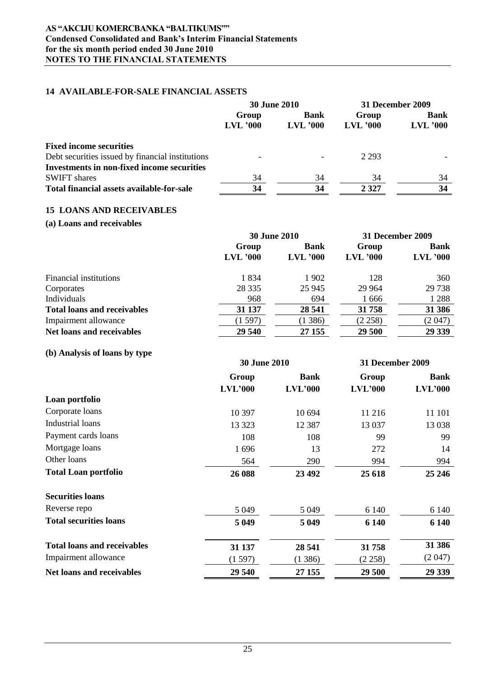### **AS "AKCIJU KOMERCBANKA "BALTIKUMS"" Condensed Consolidated and Bank's Interim Financial Statements for the six month period ended 30 June 2010 NOTES TO THE FINANCIAL STATEMENTS**

#### **14 AVAILABLE-FOR-SALE FINANCIAL ASSETS**

|                                                   | <b>30 June 2010</b>      |                           | 31 December 2009    |                           |
|---------------------------------------------------|--------------------------|---------------------------|---------------------|---------------------------|
|                                                   | Group<br>$LVL$ '000      | <b>Bank</b><br>$LVL$ '000 | Group<br>$LVL$ '000 | <b>Bank</b><br>$LVL$ '000 |
| <b>Fixed income securities</b>                    |                          |                           |                     |                           |
| Debt securities issued by financial institutions  | $\overline{\phantom{0}}$ |                           | 2 2 9 3             |                           |
| <b>Investments in non-fixed income securities</b> |                          |                           |                     |                           |
| <b>SWIFT</b> shares                               | 34                       | 34                        | 34                  | 34                        |
| Total financial assets available-for-sale         | 34                       | 34                        | 2 3 2 7             | 34                        |

#### **15 LOANS AND RECEIVABLES**

# **(a) Loans and receivables**

|                                    | <b>30 June 2010</b> |             | 31 December 2009 |             |
|------------------------------------|---------------------|-------------|------------------|-------------|
|                                    | Group               | <b>Bank</b> | Group            | <b>Bank</b> |
|                                    | $LVL$ '000          | $LVL$ '000  | $LVL$ '000       | $LVL$ '000  |
| Financial institutions             | 1834                | 1902        | 128              | 360         |
| Corporates                         | 28 3 35             | 25 945      | 29 9 64          | 29 738      |
| Individuals                        | 968                 | 694         | 1666             | 1 2 8 8     |
| <b>Total loans and receivables</b> | 31 137              | 28 541      | 31758            | 31 386      |
| Impairment allowance               | (1597)              | (1386)      | (2258)           | (2.047)     |
| <b>Net loans and receivables</b>   | 29 540              | 27 155      | 29 500           | 29 339      |

# **(b) Analysis of loans by type**

|                                    | <b>30 June 2010</b> |             | 31 December 2009 |             |
|------------------------------------|---------------------|-------------|------------------|-------------|
|                                    | Group               | <b>Bank</b> | Group            | <b>Bank</b> |
|                                    | LVL'000             | LVL'000     | LVL'000          | LVL'000     |
| Loan portfolio                     |                     |             |                  |             |
| Corporate loans                    | 10 397              | 10 694      | 11 216           | 11 101      |
| Industrial loans                   | 13 3 23             | 12 3 8 7    | 13 037           | 13 0 38     |
| Payment cards loans                | 108                 | 108         | 99               | 99          |
| Mortgage loans                     | 1696                | 13          | 272              | 14          |
| Other loans                        | 564                 | 290         | 994              | 994         |
| <b>Total Loan portfolio</b>        | 26 088              | 23 492      | 25 618           | 25 24 6     |
| <b>Securities loans</b>            |                     |             |                  |             |
| Reverse repo                       | 5 0 4 9             | 5 0 4 9     | 6 1 4 0          | 6 140       |
| <b>Total securities loans</b>      | 5 0 4 9             | 5 0 4 9     | 6 1 4 0          | 6 140       |
| <b>Total loans and receivables</b> | 31 137              | 28 541      | 31758            | 31 386      |
| Impairment allowance               | (1597)              | (1386)      | (2258)           | (2.047)     |
| <b>Net loans and receivables</b>   | 29 540              | 27 155      | 29 500           | 29 339      |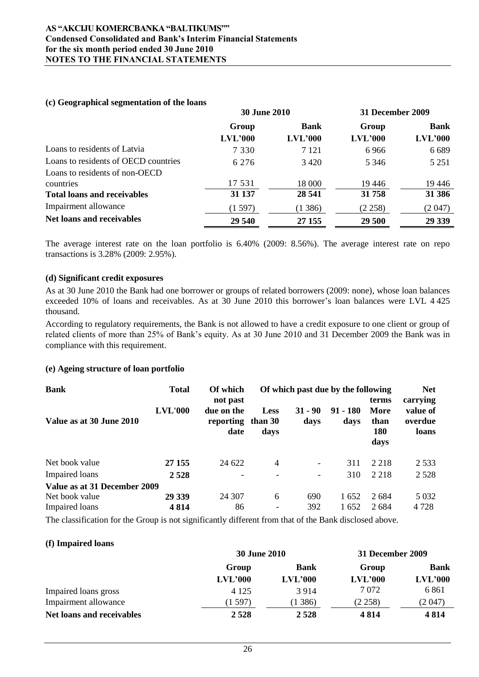#### **(c) Geographical segmentation of the loans**

|                                      | <b>30 June 2010</b> |             | 31 December 2009 |             |
|--------------------------------------|---------------------|-------------|------------------|-------------|
|                                      | Group               | <b>Bank</b> | Group            | <b>Bank</b> |
|                                      | LVL'000             | LVL'000     | LVL'000          | LVL'000     |
| Loans to residents of Latvia         | 7 3 3 0             | 7 1 2 1     | 6966             | 6 6 8 9     |
| Loans to residents of OECD countries | 6 2 7 6             | 3420        | 5 3 4 6          | 5 2 5 1     |
| Loans to residents of non-OECD       |                     |             |                  |             |
| countries                            | 17 531              | 18 000      | 19446            | 19446       |
| <b>Total loans and receivables</b>   | 31 137              | 28 541      | 31758            | 31 386      |
| Impairment allowance                 | (1597)              | (1386)      | (2258)           | (2047)      |
| <b>Net loans and receivables</b>     | 29 540              | 27 155      | 29 500           | 29 339      |

The average interest rate on the loan portfolio is 6.40% (2009: 8.56%). The average interest rate on repo transactions is 3.28% (2009: 2.95%).

### **(d) Significant credit exposures**

As at 30 June 2010 the Bank had one borrower or groups of related borrowers (2009: none), whose loan balances exceeded 10% of loans and receivables. As at 30 June 2010 this borrower's loan balances were LVL 4 425 thousand.

According to regulatory requirements, the Bank is not allowed to have a credit exposure to one client or group of related clients of more than 25% of Bank"s equity. As at 30 June 2010 and 31 December 2009 the Bank was in compliance with this requirement.

#### **(e) Ageing structure of loan portfolio**

| <b>Bank</b>                  | <b>Total</b>   | Of which<br>not past            |                          | Of which past due by the following |                    | terms                       | <b>Net</b><br>carrying       |
|------------------------------|----------------|---------------------------------|--------------------------|------------------------------------|--------------------|-----------------------------|------------------------------|
| Value as at 30 June 2010     | <b>LVL'000</b> | due on the<br>reporting<br>date | Less<br>than 30<br>days  | $31 - 90$<br>days                  | $91 - 180$<br>days | More<br>than<br>180<br>days | value of<br>overdue<br>loans |
| Net book value               | 27 155         | 24 622                          | $\overline{4}$           | $\overline{\phantom{a}}$           | 311                | 2 2 1 8                     | 2 5 3 3                      |
| Impaired loans               | 2 5 2 8        |                                 |                          |                                    | 310                | 2 2 1 8                     | 2 5 2 8                      |
| Value as at 31 December 2009 |                |                                 |                          |                                    |                    |                             |                              |
| Net book value               | 29 339         | 24 307                          | 6                        | 690                                | 1652               | 2684                        | 5 0 3 2                      |
| <b>Impaired</b> loans        | 4814           | 86                              | $\overline{\phantom{0}}$ | 392                                | 1652               | 2684                        | 4 7 2 8                      |

The classification for the Group is not significantly different from that of the Bank disclosed above.

#### **(f) Impaired loans**

|                           | <b>30 June 2010</b> |             | 31 December 2009 |             |  |
|---------------------------|---------------------|-------------|------------------|-------------|--|
|                           | Group               | <b>Bank</b> | Group            | <b>Bank</b> |  |
|                           | LVL'000             | LVL'000     | LVL'000          | LVL'000     |  |
| Impaired loans gross      | 4 1 2 5             | 3914        | 7 0 7 2          | 6 8 6 1     |  |
| Impairment allowance      | (1597)              | 386)        | (2258)           | (2 047)     |  |
| Net loans and receivables | 2528                | 2528        | 4814             | 4 8 1 4     |  |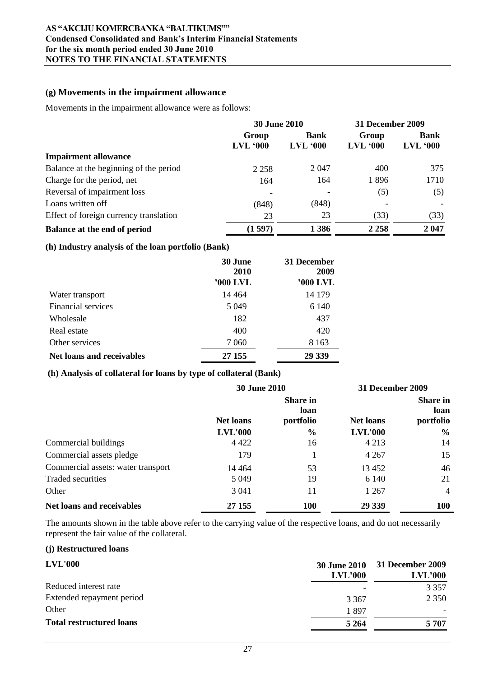# **(g) Movements in the impairment allowance**

Movements in the impairment allowance were as follows:

|                                        | <b>30 June 2010</b>      |                           | <b>31 December 2009</b> |                            |
|----------------------------------------|--------------------------|---------------------------|-------------------------|----------------------------|
|                                        | Group<br><b>LVL '000</b> | <b>Bank</b><br>$LVL$ '000 | Group<br>$LVL$ $000$    | <b>Bank</b><br>$LVL$ $000$ |
| <b>Impairment allowance</b>            |                          |                           |                         |                            |
| Balance at the beginning of the period | 2 2 5 8                  | 2047                      | 400                     | 375                        |
| Charge for the period, net             | 164                      | 164                       | 1896                    | 1710                       |
| Reversal of impairment loss            |                          |                           | (5)                     | (5)                        |
| Loans written off                      | (848)                    | (848)                     |                         |                            |
| Effect of foreign currency translation | 23                       | 23                        | (33)                    | (33)                       |
| Balance at the end of period           | (1597)                   | 1386                      | 2 2 5 8                 | 2047                       |

# **(h) Industry analysis of the loan portfolio (Bank)**

|                           | 30 June<br>2010<br>'000 LVL | 31 December<br>2009<br>'000 LVL |
|---------------------------|-----------------------------|---------------------------------|
| Water transport           | 14 4 64                     | 14 179                          |
| Financial services        | 5 0 4 9                     | 6 140                           |
| Wholesale                 | 182                         | 437                             |
| Real estate               | 400                         | 420                             |
| Other services            | 7 0 6 0                     | 8 1 6 3                         |
| Net loans and receivables | 27 155                      | 29 339                          |

# **(h) Analysis of collateral for loans by type of collateral (Bank)**

|                                    | <b>30 June 2010</b>                                      |               | <b>31 December 2009</b> |               |                  |                                      |
|------------------------------------|----------------------------------------------------------|---------------|-------------------------|---------------|------------------|--------------------------------------|
|                                    | <b>Share in</b><br>loan<br><b>Net loans</b><br>portfolio |               |                         |               | <b>Net loans</b> | <b>Share in</b><br>loan<br>portfolio |
|                                    | <b>LVL'000</b>                                           | $\frac{0}{0}$ | <b>LVL'000</b>          | $\frac{0}{0}$ |                  |                                      |
| Commercial buildings               | 4 4 2 2                                                  | 16            | 4 2 1 3                 | 14            |                  |                                      |
| Commercial assets pledge           | 179                                                      |               | 4 2 6 7                 | 15            |                  |                                      |
| Commercial assets: water transport | 14 4 64                                                  | 53            | 13452                   | 46            |                  |                                      |
| Traded securities                  | 5 0 4 9                                                  | 19            | 6 1 4 0                 | 21            |                  |                                      |
| Other                              | 3 0 4 1                                                  | 11            | 1 2 6 7                 | 4             |                  |                                      |
| <b>Net loans and receivables</b>   | 27 155                                                   | <b>100</b>    | 29 339                  | <b>100</b>    |                  |                                      |

The amounts shown in the table above refer to the carrying value of the respective loans, and do not necessarily represent the fair value of the collateral.

#### **(j) Restructured loans**

| <b>LVL'000</b>                  | <b>30 June 2010</b><br>LVL'000 | <b>31 December 2009</b><br>LVL'000 |
|---------------------------------|--------------------------------|------------------------------------|
| Reduced interest rate           |                                | 3 3 5 7                            |
| Extended repayment period       | 3 3 6 7                        | 2 3 5 0                            |
| Other                           | 1897                           |                                    |
| <b>Total restructured loans</b> | 5 2 6 4                        | 5 707                              |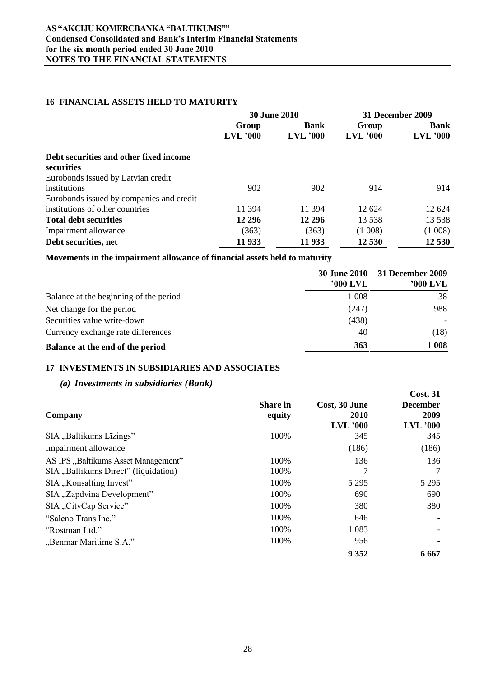# **16 FINANCIAL ASSETS HELD TO MATURITY**

|                                          | <b>30 June 2010</b> |             |            | <b>31 December 2009</b> |  |
|------------------------------------------|---------------------|-------------|------------|-------------------------|--|
|                                          | Group               | <b>Bank</b> | Group      | <b>Bank</b>             |  |
|                                          | $LVL$ '000          | $LVL$ '000  | $LVL$ '000 | $LVL$ '000              |  |
| Debt securities and other fixed income   |                     |             |            |                         |  |
| securities                               |                     |             |            |                         |  |
| Eurobonds issued by Latvian credit       |                     |             |            |                         |  |
| institutions                             | 902                 | 902         | 914        | 914                     |  |
| Eurobonds issued by companies and credit |                     |             |            |                         |  |
| institutions of other countries          | 11 394              | 11 394      | 12 624     | 12 624                  |  |
| <b>Total debt securities</b>             | 12 29 6             | 12 29 6     | 13 5 38    | 13 5 38                 |  |
| Impairment allowance                     | (363)               | (363)       | (1008)     | (1008)                  |  |
| Debt securities, net                     | 11 933              | 11 933      | 12 530     | 12 530                  |  |

#### **Movements in the impairment allowance of financial assets held to maturity**

|                                        | <b>30 June 2010</b><br>'000 LVL | 31 December 2009<br>'000 LVL |
|----------------------------------------|---------------------------------|------------------------------|
| Balance at the beginning of the period | 1 0 0 8                         | 38                           |
| Net change for the period              | (247)                           | 988                          |
| Securities value write-down            | (438)                           |                              |
| Currency exchange rate differences     | 40                              | (18)                         |
| Balance at the end of the period       | 363                             | 1 008                        |

**Cost, 31** 

# **17 INVESTMENTS IN SUBSIDIARIES AND ASSOCIATES**

# *(a) Investments in subsidiaries (Bank)*

| Company                              | <b>Share in</b><br>equity | Cost, 30 June<br>2010<br><b>LVL</b> '000 | <b>000000</b><br><b>December</b><br>2009<br>$LVL$ '000 |
|--------------------------------------|---------------------------|------------------------------------------|--------------------------------------------------------|
| SIA "Baltikums Līzings"              | 100%                      | 345                                      | 345                                                    |
| Impairment allowance                 |                           | (186)                                    | (186)                                                  |
| AS IPS "Baltikums Asset Management"  | 100%                      | 136                                      | 136                                                    |
| SIA "Baltikums Direct" (liquidation) | 100%                      | 7                                        |                                                        |
| SIA "Konsalting Invest"              | 100%                      | 5 2 9 5                                  | 5 2 9 5                                                |
| SIA "Zapdvina Development"           | 100%                      | 690                                      | 690                                                    |
| SIA "CityCap Service"                | 100%                      | 380                                      | 380                                                    |
| "Saleno Trans Inc."                  | 100%                      | 646                                      |                                                        |
| "Rostman Ltd."                       | 100%                      | 1 0 8 3                                  |                                                        |
| "Benmar Maritime S.A."               | 100%                      | 956                                      |                                                        |
|                                      |                           | 9 3 5 2                                  | 6 6 6 7                                                |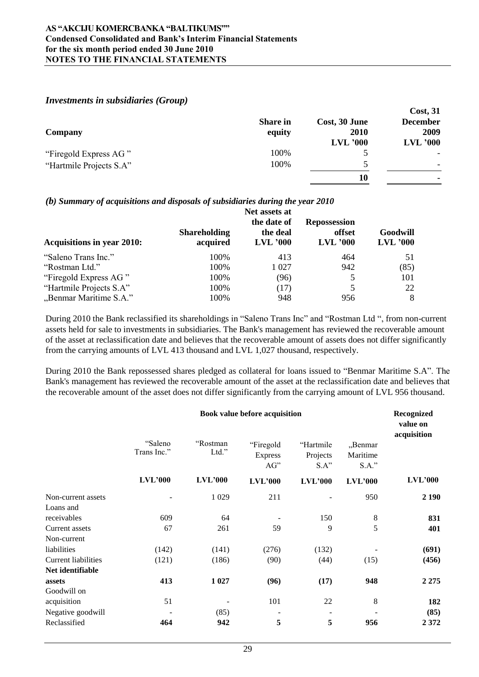# *Investments in subsidiaries (Group)*

|                         |                           |                              | Cost, 31                |
|-------------------------|---------------------------|------------------------------|-------------------------|
| <b>Company</b>          | <b>Share in</b><br>equity | Cost, 30 June<br><b>2010</b> | <b>December</b><br>2009 |
|                         |                           | $LVL$ '000                   | $LVL$ '000              |
| "Firegold Express AG"   | 100%                      |                              |                         |
| "Hartmile Projects S.A" | 100%                      | ↖                            | -                       |
|                         |                           | 10                           | ۰                       |

# *(b) Summary of acquisitions and disposals of subsidiaries during the year 2010*

| <b>Acquisitions in year 2010:</b> | <b>Shareholding</b><br>acquired | Net assets at<br>the date of<br>the deal<br>$LVL$ '000 | <b>Repossession</b><br>offset<br>$LVL$ '000 | Goodwill<br>$LVL$ '000 |
|-----------------------------------|---------------------------------|--------------------------------------------------------|---------------------------------------------|------------------------|
| "Saleno Trans Inc."               | 100%                            | 413                                                    | 464                                         | 51                     |
| "Rostman Ltd."                    | 100%                            | 1 0 27                                                 | 942                                         | (85)                   |
| "Firegold Express AG"             | 100%                            | (96)                                                   |                                             | 101                    |
| "Hartmile Projects S.A"           | 100%                            | (17)                                                   |                                             | 22                     |
| "Benmar Maritime S.A."            | 100%                            | 948                                                    | 956                                         | 8                      |

During 2010 the Bank reclassified its shareholdings in "Saleno Trans Inc" and "Rostman Ltd ", from non-current assets held for sale to investments in subsidiaries. The Bank's management has reviewed the recoverable amount of the asset at reclassification date and believes that the recoverable amount of assets does not differ significantly from the carrying amounts of LVL 413 thousand and LVL 1,027 thousand, respectively.

During 2010 the Bank repossessed shares pledged as collateral for loans issued to "Benmar Maritime S.A". The Bank's management has reviewed the recoverable amount of the asset at the reclassification date and believes that the recoverable amount of the asset does not differ significantly from the carrying amount of LVL 956 thousand.

|                                                |                        | Book value before acquisition |                                    |                                  |                                 |                |
|------------------------------------------------|------------------------|-------------------------------|------------------------------------|----------------------------------|---------------------------------|----------------|
|                                                | "Saleno<br>Trans Inc." | "Rostman<br>Ltd."             | "Firegold<br><b>Express</b><br>AG" | "Hartmile<br>Projects<br>$S.A$ " | "Benmar<br>Maritime<br>$S.A.$ " | acquisition    |
|                                                | LVL'000                | LVL'000                       | LVL'000                            | <b>LVL'000</b>                   | LVL'000                         | <b>LVL'000</b> |
| Non-current assets<br>Loans and                |                        | 1 0 29                        | 211                                |                                  | 950                             | 2 1 9 0        |
| receivables                                    | 609                    | 64                            |                                    | 150                              | $\,8\,$                         | 831            |
| Current assets<br>Non-current                  | 67                     | 261                           | 59                                 | 9                                | 5                               | 401            |
| liabilities                                    | (142)                  | (141)                         | (276)                              | (132)                            |                                 | (691)          |
| <b>Current liabilities</b><br>Net identifiable | (121)                  | (186)                         | (90)                               | (44)                             | (15)                            | (456)          |
| assets<br>Goodwill on                          | 413                    | 1 0 27                        | (96)                               | (17)                             | 948                             | 2 2 7 5        |
| acquisition                                    | 51                     |                               | 101                                | 22                               | 8                               | 182            |
| Negative goodwill                              |                        | (85)                          |                                    |                                  |                                 | (85)           |
| Reclassified                                   | 464                    | 942                           | 5                                  | 5                                | 956                             | 2372           |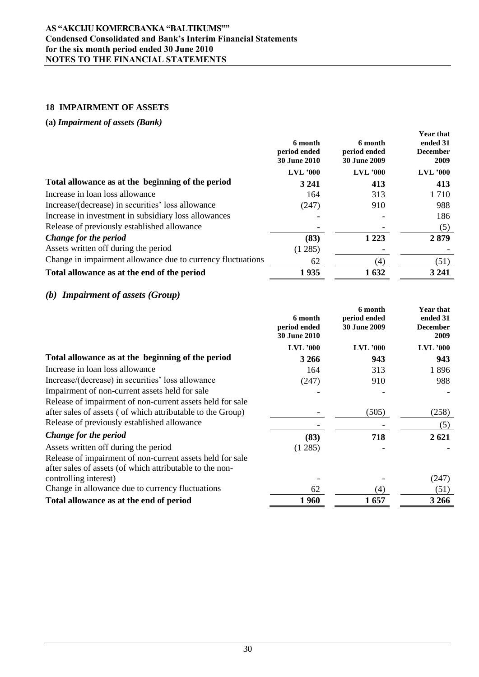### **AS "AKCIJU KOMERCBANKA "BALTIKUMS"" Condensed Consolidated and Bank's Interim Financial Statements for the six month period ended 30 June 2010 NOTES TO THE FINANCIAL STATEMENTS**

# **18 IMPAIRMENT OF ASSETS**

# **(a)** *Impairment of assets (Bank)*

|                                                             | 6 month<br>period ended<br><b>30 June 2010</b> | 6 month<br>period ended<br><b>30 June 2009</b> | <b>Year that</b><br>ended 31<br><b>December</b><br>2009 |
|-------------------------------------------------------------|------------------------------------------------|------------------------------------------------|---------------------------------------------------------|
|                                                             | <b>LVL</b> '000                                | <b>LVL</b> '000                                | $LVL$ '000                                              |
| Total allowance as at the beginning of the period           | 3 2 4 1                                        | 413                                            | 413                                                     |
| Increase in loan loss allowance                             | 164                                            | 313                                            | 1 7 1 0                                                 |
| Increase/(decrease) in securities' loss allowance           | (247)                                          | 910                                            | 988                                                     |
| Increase in investment in subsidiary loss allowances        |                                                |                                                | 186                                                     |
| Release of previously established allowance                 |                                                |                                                | (5)                                                     |
| Change for the period                                       | (83)                                           | 1 2 2 3                                        | 2879                                                    |
| Assets written off during the period                        | (1285)                                         |                                                |                                                         |
| Change in impairment allowance due to currency fluctuations | 62                                             | $\scriptstyle{(4)}$                            | (51)                                                    |
| Total allowance as at the end of the period                 | 1935                                           | 1632                                           | 3 2 4 1                                                 |

# *(b) Impairment of assets (Group)*

|                                                                                                                       | 6 month<br>period ended<br><b>30 June 2010</b> | 6 month<br>period ended<br><b>30 June 2009</b> | <b>Year that</b><br>ended 31<br><b>December</b><br>2009 |
|-----------------------------------------------------------------------------------------------------------------------|------------------------------------------------|------------------------------------------------|---------------------------------------------------------|
|                                                                                                                       | $LVL$ '000                                     | $LVL$ '000                                     | <b>LVL</b> '000                                         |
| Total allowance as at the beginning of the period                                                                     | 3 2 6 6                                        | 943                                            | 943                                                     |
| Increase in loan loss allowance                                                                                       | 164                                            | 313                                            | 1896                                                    |
| Increase/(decrease) in securities' loss allowance                                                                     | (247)                                          | 910                                            | 988                                                     |
| Impairment of non-current assets held for sale                                                                        |                                                |                                                |                                                         |
| Release of impairment of non-current assets held for sale                                                             |                                                |                                                |                                                         |
| after sales of assets (of which attributable to the Group)                                                            |                                                | (505)                                          | (258)                                                   |
| Release of previously established allowance                                                                           |                                                |                                                | (5)                                                     |
| Change for the period                                                                                                 | (83)                                           | 718                                            | 2621                                                    |
| Assets written off during the period                                                                                  | (1285)                                         |                                                |                                                         |
| Release of impairment of non-current assets held for sale<br>after sales of assets (of which attributable to the non- |                                                |                                                |                                                         |
| controlling interest)                                                                                                 |                                                |                                                | (247)                                                   |
| Change in allowance due to currency fluctuations                                                                      | 62                                             | (4)                                            | (51)                                                    |
| Total allowance as at the end of period                                                                               | 1960                                           | 1657                                           | 3 2 6 6                                                 |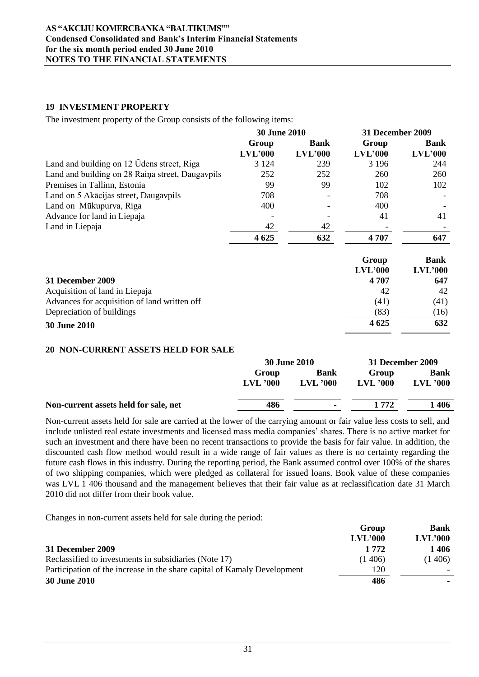# **19 INVESTMENT PROPERTY**

The investment property of the Group consists of the following items:

|                                                  | <b>30 June 2010</b> |             | <b>31 December 2009</b> |             |
|--------------------------------------------------|---------------------|-------------|-------------------------|-------------|
|                                                  | Group               | <b>Bank</b> | Group                   | <b>Bank</b> |
|                                                  | LVL'000             | LVL'000     | LVL'000                 | LVL'000     |
| Land and building on 12 Udens street, Riga       | 3 1 2 4             | 239         | 3 1 9 6                 | 244         |
| Land and building on 28 Raina street, Daugavpils | 252                 | 252         | 260                     | 260         |
| Premises in Tallinn, Estonia                     | 99                  | 99          | 102                     | 102         |
| Land on 5 Akacijas street, Daugavpils            | 708                 |             | 708                     |             |
| Land on Mūkupurva, Riga                          | 400                 |             | 400                     |             |
| Advance for land in Liepaja                      |                     |             | 41                      | 41          |
| Land in Liepaja                                  | 42                  | 42          |                         |             |
|                                                  | 4 6 25              | 632         | 4707                    | 647         |
|                                                  |                     |             | Group                   | <b>Bank</b> |
|                                                  |                     |             | LVL'000                 | LVL'000     |
| 31 December 2009                                 |                     |             | 4 707                   | 647         |
| Acquisition of land in Liepaja                   |                     |             | 42                      | 42          |
| Advances for acquisition of land written off     |                     |             | (41)                    | (41)        |
| Depreciation of buildings                        |                     |             | (83)                    | (16)        |
| <b>30 June 2010</b>                              |                     |             | 4 6 25                  | 632         |

# **20 NON-CURRENT ASSETS HELD FOR SALE**

|                                       | <b>30 June 2010</b> |             | 31 December 2009 |             |
|---------------------------------------|---------------------|-------------|------------------|-------------|
|                                       | Group               | <b>Bank</b> | Group            | <b>Bank</b> |
|                                       | $LVL$ '000          | $LVL$ '000  | $LVL$ '000       | $LVL$ '000  |
| Non-current assets held for sale, net | 486                 |             | 1 772            | l 406       |
|                                       |                     |             |                  |             |

Non-current assets held for sale are carried at the lower of the carrying amount or fair value less costs to sell, and include unlisted real estate investments and licensed mass media companies" shares. There is no active market for such an investment and there have been no recent transactions to provide the basis for fair value. In addition, the discounted cash flow method would result in a wide range of fair values as there is no certainty regarding the future cash flows in this industry. During the reporting period, the Bank assumed control over 100% of the shares of two shipping companies, which were pledged as collateral for issued loans. Book value of these companies was LVL 1 406 thousand and the management believes that their fair value as at reclassification date 31 March 2010 did not differ from their book value.

Changes in non-current assets held for sale during the period:

|                                                                          | Group   | <b>Bank</b> |
|--------------------------------------------------------------------------|---------|-------------|
|                                                                          | LVL'000 | LVL'000     |
| <b>31 December 2009</b>                                                  | 1 772   | 1406        |
| Reclassified to investments in subsidiaries (Note 17)                    | (1406)  | (1406)      |
| Participation of the increase in the share capital of Kamaly Development | 120     |             |
| <b>30 June 2010</b>                                                      | 486     |             |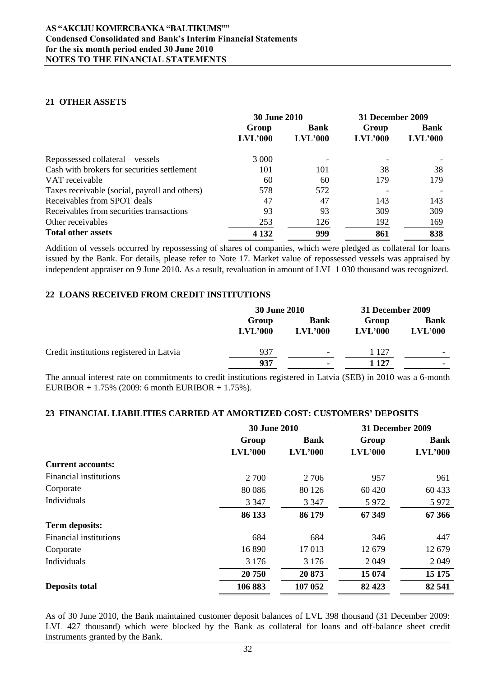### **21 OTHER ASSETS**

|                                               | <b>30 June 2010</b> |                | 31 December 2009 |                |  |
|-----------------------------------------------|---------------------|----------------|------------------|----------------|--|
|                                               | Group               | <b>Bank</b>    | Group            | <b>Bank</b>    |  |
|                                               | LVL'000             | <b>LVL'000</b> | <b>LVL'000</b>   | <b>LVL'000</b> |  |
| Repossessed collateral – vessels              | 3 0 0 0             |                |                  |                |  |
| Cash with brokers for securities settlement   | 101                 | 101            | 38               | 38             |  |
| VAT receivable                                | 60                  | 60             | 179              | 179            |  |
| Taxes receivable (social, payroll and others) | 578                 | 572            |                  |                |  |
| Receivables from SPOT deals                   | 47                  | 47             | 143              | 143            |  |
| Receivables from securities transactions      | 93                  | 93             | 309              | 309            |  |
| Other receivables                             | 253                 | 126            | 192              | 169            |  |
| <b>Total other assets</b>                     | 4 1 3 2             | 999            | 861              | 838            |  |

Addition of vessels occurred by repossessing of shares of companies, which were pledged as collateral for loans issued by the Bank. For details, please refer to Note 17. Market value of repossessed vessels was appraised by independent appraiser on 9 June 2010. As a result, revaluation in amount of LVL 1 030 thousand was recognized.

# **22 LOANS RECEIVED FROM CREDIT INSTITUTIONS**

|                                          | <b>30 June 2010</b> |                               | 31 December 2009 |                          |
|------------------------------------------|---------------------|-------------------------------|------------------|--------------------------|
|                                          | Group<br>LVL'000    | <b>Bank</b><br><b>LVL'000</b> | Group<br>LVL'000 | <b>Bank</b><br>LVL'000   |
| Credit institutions registered in Latvia | 937                 | $\overline{\phantom{a}}$      | 1 127            | $\overline{\phantom{0}}$ |
|                                          | 937                 | ۰.                            | 1 127            | ۰                        |

The annual interest rate on commitments to credit institutions registered in Latvia (SEB) in 2010 was a 6-month EURIBOR + 1.75% (2009: 6 month EURIBOR + 1.75%).

# **23 FINANCIAL LIABILITIES CARRIED AT AMORTIZED COST: CUSTOMERS" DEPOSITS**

|                               | <b>30 June 2010</b> |             | 31 December 2009 |             |
|-------------------------------|---------------------|-------------|------------------|-------------|
|                               | Group               | <b>Bank</b> | Group            | <b>Bank</b> |
|                               | LVL'000             | LVL'000     | LVL'000          | LVL'000     |
| <b>Current accounts:</b>      |                     |             |                  |             |
| <b>Financial institutions</b> | 2 700               | 2 7 0 6     | 957              | 961         |
| Corporate                     | 80 0 86             | 80 1 26     | 60 4 20          | 60 433      |
| Individuals                   | 3 3 4 7             | 3 3 4 7     | 5972             | 5 9 7 2     |
|                               | 86 133              | 86 179      | 67 349           | 67 366      |
| <b>Term deposits:</b>         |                     |             |                  |             |
| Financial institutions        | 684                 | 684         | 346              | 447         |
| Corporate                     | 16890               | 17013       | 12679            | 12 679      |
| Individuals                   | 3 1 7 6             | 3 1 7 6     | 2 0 4 9          | 2 0 4 9     |
|                               | 20 750              | 20873       | 15 074           | 15 175      |
| <b>Deposits total</b>         | 106 883             | 107 052     | 82 4 23          | 82 541      |

As of 30 June 2010, the Bank maintained customer deposit balances of LVL 398 thousand (31 December 2009: LVL 427 thousand) which were blocked by the Bank as collateral for loans and off-balance sheet credit instruments granted by the Bank.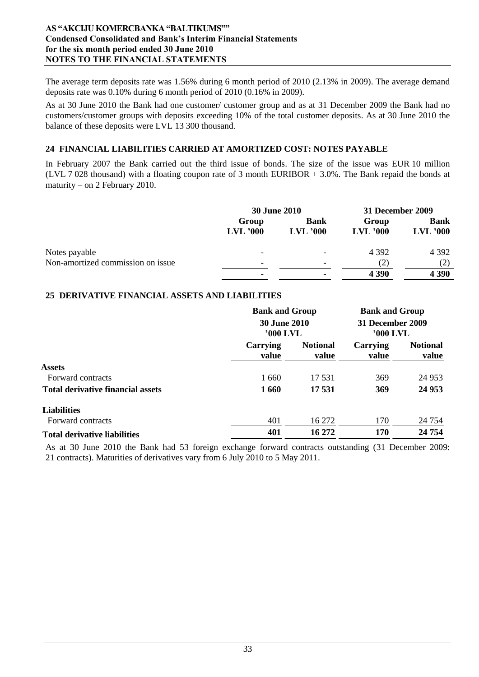### **AS "AKCIJU KOMERCBANKA "BALTIKUMS"" Condensed Consolidated and Bank's Interim Financial Statements for the six month period ended 30 June 2010 NOTES TO THE FINANCIAL STATEMENTS**

The average term deposits rate was 1.56% during 6 month period of 2010 (2.13% in 2009). The average demand deposits rate was 0.10% during 6 month period of 2010 (0.16% in 2009).

As at 30 June 2010 the Bank had one customer/ customer group and as at 31 December 2009 the Bank had no customers/customer groups with deposits exceeding 10% of the total customer deposits. As at 30 June 2010 the balance of these deposits were LVL 13 300 thousand.

# **24 FINANCIAL LIABILITIES CARRIED AT AMORTIZED COST: NOTES PAYABLE**

In February 2007 the Bank carried out the third issue of bonds. The size of the issue was EUR 10 million (LVL 7 028 thousand) with a floating coupon rate of 3 month EURIBOR + 3.0%. The Bank repaid the bonds at maturity – on 2 February 2010.

|                                   | <b>30 June 2010</b>      |                           | 31 December 2009    |                           |
|-----------------------------------|--------------------------|---------------------------|---------------------|---------------------------|
|                                   | Group<br>$LVL$ '000      | <b>Bank</b><br>$LVL$ '000 | Group<br>$LVL$ '000 | <b>Bank</b><br>$LVL$ '000 |
| Notes payable                     |                          |                           | 4 3 9 2             | 4 3 9 2                   |
| Non-amortized commission on issue | $\overline{\phantom{0}}$ | -                         | (2)                 | (2)                       |
|                                   |                          |                           | 4 3 9 0             | 4 3 9 0                   |

# **25 DERIVATIVE FINANCIAL ASSETS AND LIABILITIES**

|                                          |                                 | <b>Bank and Group</b>    |                              | <b>Bank and Group</b>    |
|------------------------------------------|---------------------------------|--------------------------|------------------------------|--------------------------|
|                                          | <b>30 June 2010</b><br>'000 LVL |                          | 31 December 2009<br>'000 LVL |                          |
|                                          | Carrying<br>value               | <b>Notional</b><br>value | Carrying<br>value            | <b>Notional</b><br>value |
| <b>Assets</b>                            |                                 |                          |                              |                          |
| Forward contracts                        | 1 660                           | 17 531                   | 369                          | 24 9 53                  |
| <b>Total derivative financial assets</b> | 1660                            | 17531                    | 369                          | 24 953                   |
| <b>Liabilities</b>                       |                                 |                          |                              |                          |
| Forward contracts                        | 401                             | 16 272                   | 170                          | 24 7 54                  |
| <b>Total derivative liabilities</b>      | 401                             | 16 272                   | 170                          | 24 754                   |

As at 30 June 2010 the Bank had 53 foreign exchange forward contracts outstanding (31 December 2009: 21 contracts). Maturities of derivatives vary from 6 July 2010 to 5 May 2011.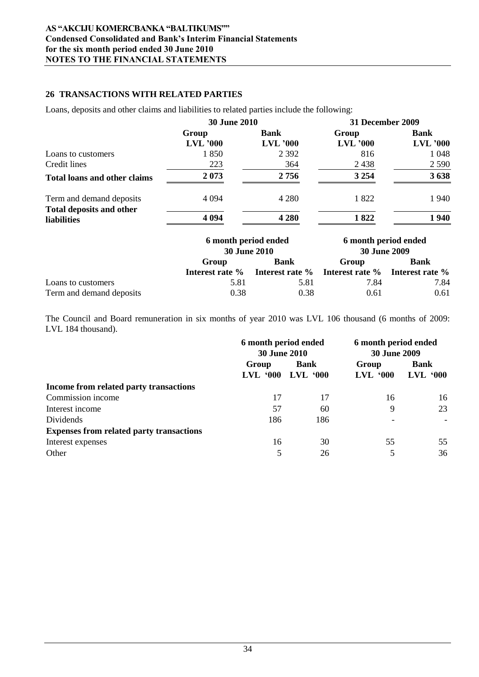# **26 TRANSACTIONS WITH RELATED PARTIES**

Loans, deposits and other claims and liabilities to related parties include the following:

|                                                | <b>30 June 2010</b> |             | <b>31 December 2009</b> |            |
|------------------------------------------------|---------------------|-------------|-------------------------|------------|
|                                                | Group               | <b>Bank</b> | Group                   | Bank       |
|                                                | $LVL$ '000          | $LVL$ '000  | $LVL$ '000              | $LVL$ '000 |
| Loans to customers                             | 1850                | 2 3 9 2     | 816                     | 1 0 4 8    |
| Credit lines                                   | 223                 | 364         | 2438                    | 2 5 9 0    |
| <b>Total loans and other claims</b>            | 2073                | 2756        | 3 2 5 4                 | 3638       |
| Term and demand deposits                       | 4 0 9 4             | 4 2 8 0     | 1822                    | 1940       |
| <b>Total deposits and other</b><br>liabilities | 4 0 9 4             | 4 2 8 0     | 1822                    | 1940       |

|                          | 6 month period ended<br><b>30 June 2010</b> |                                                                        | 6 month period ended<br><b>30 June 2009</b> |       |  |             |
|--------------------------|---------------------------------------------|------------------------------------------------------------------------|---------------------------------------------|-------|--|-------------|
|                          | Group                                       | <b>Bank</b>                                                            |                                             | Group |  | <b>Bank</b> |
|                          |                                             | <b>Interest rate %</b> Interest rate % Interest rate % Interest rate % |                                             |       |  |             |
| Loans to customers       | 5.81                                        | 5.81                                                                   | 7.84                                        | 7.84  |  |             |
| Term and demand deposits | 0.38                                        | 0.38                                                                   | 0.61                                        | 0.61  |  |             |

The Council and Board remuneration in six months of year 2010 was LVL 106 thousand (6 months of 2009: LVL 184 thousand).

|                                                 | 6 month period ended<br><b>30 June 2010</b> |             | 6 month period ended<br><b>30 June 2009</b> |             |
|-------------------------------------------------|---------------------------------------------|-------------|---------------------------------------------|-------------|
|                                                 | Group                                       | <b>Bank</b> | Group                                       | <b>Bank</b> |
|                                                 | $LVL$ $000$                                 | $LVL$ $000$ | $LVL$ $000$                                 | $LVL$ $000$ |
| Income from related party transactions          |                                             |             |                                             |             |
| Commission income                               | 17                                          | 17          | 16                                          | 16          |
| Interest income                                 | 57                                          | 60          | 9                                           | 23          |
| Dividends                                       | 186                                         | 186         |                                             |             |
| <b>Expenses from related party transactions</b> |                                             |             |                                             |             |
| Interest expenses                               | 16                                          | 30          | 55                                          | 55          |
| Other                                           | 5                                           | 26          | 5                                           | 36          |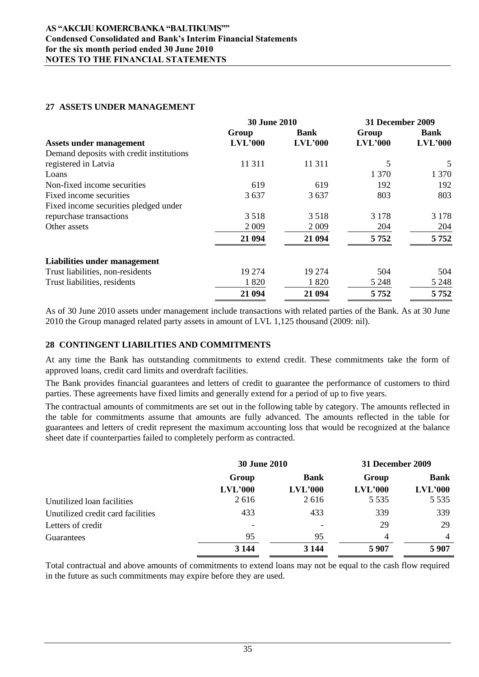# **27 ASSETS UNDER MANAGEMENT**

|                                          | <b>30 June 2010</b> |         | 31 December 2009 |             |
|------------------------------------------|---------------------|---------|------------------|-------------|
|                                          | Group               | Bank    | Group            | <b>Bank</b> |
| <b>Assets under management</b>           | LVL'000             | LVL'000 | LVL'000          | LVL'000     |
| Demand deposits with credit institutions |                     |         |                  |             |
| registered in Latvia                     | 11 311              | 11 3 11 | 5                | 5           |
| Loans                                    |                     |         | 1 3 7 0          | 1 370       |
| Non-fixed income securities              | 619                 | 619     | 192              | 192         |
| Fixed income securities                  | 3 6 3 7             | 3637    | 803              | 803         |
| Fixed income securities pledged under    |                     |         |                  |             |
| repurchase transactions                  | 3518                | 3518    | 3 1 7 8          | 3 1 7 8     |
| Other assets                             | 2 0 0 9             | 2 0 0 9 | 204              | 204         |
|                                          | 21 094              | 21 094  | 5752             | 5752        |
| Liabilities under management             |                     |         |                  |             |
| Trust liabilities, non-residents         | 19 274              | 19 274  | 504              | 504         |
| Trust liabilities, residents             | 1820                | 1820    | 5 2 4 8          | 5 2 4 8     |
|                                          | 21 094              | 21 094  | 5752             | 5752        |

As of 30 June 2010 assets under management include transactions with related parties of the Bank. As at 30 June 2010 the Group managed related party assets in amount of LVL 1,125 thousand (2009: nil).

# **28 CONTINGENT LIABILITIES AND COMMITMENTS**

At any time the Bank has outstanding commitments to extend credit. These commitments take the form of approved loans, credit card limits and overdraft facilities.

The Bank provides financial guarantees and letters of credit to guarantee the performance of customers to third parties. These agreements have fixed limits and generally extend for a period of up to five years.

The contractual amounts of commitments are set out in the following table by category. The amounts reflected in the table for commitments assume that amounts are fully advanced. The amounts reflected in the table for guarantees and letters of credit represent the maximum accounting loss that would be recognized at the balance sheet date if counterparties failed to completely perform as contracted.

|                                   | <b>30 June 2010</b>      |                          | 31 December 2009 |             |
|-----------------------------------|--------------------------|--------------------------|------------------|-------------|
|                                   | Group                    | <b>Bank</b>              | Group            | <b>Bank</b> |
|                                   | LVL'000                  | LVL'000                  | LVL'000          | LVL'000     |
| Unutilized loan facilities        | 2616                     | 2616                     | 5 5 3 5          | 5 5 3 5     |
| Unutilized credit card facilities | 433                      | 433                      | 339              | 339         |
| Letters of credit                 | $\overline{\phantom{0}}$ | $\overline{\phantom{0}}$ | 29               | 29          |
| Guarantees                        | 95                       | 95                       | 4                | 4           |
|                                   | 3 1 4 4                  | 3 1 4 4                  | 5907             | 5907        |

Total contractual and above amounts of commitments to extend loans may not be equal to the cash flow required in the future as such commitments may expire before they are used.